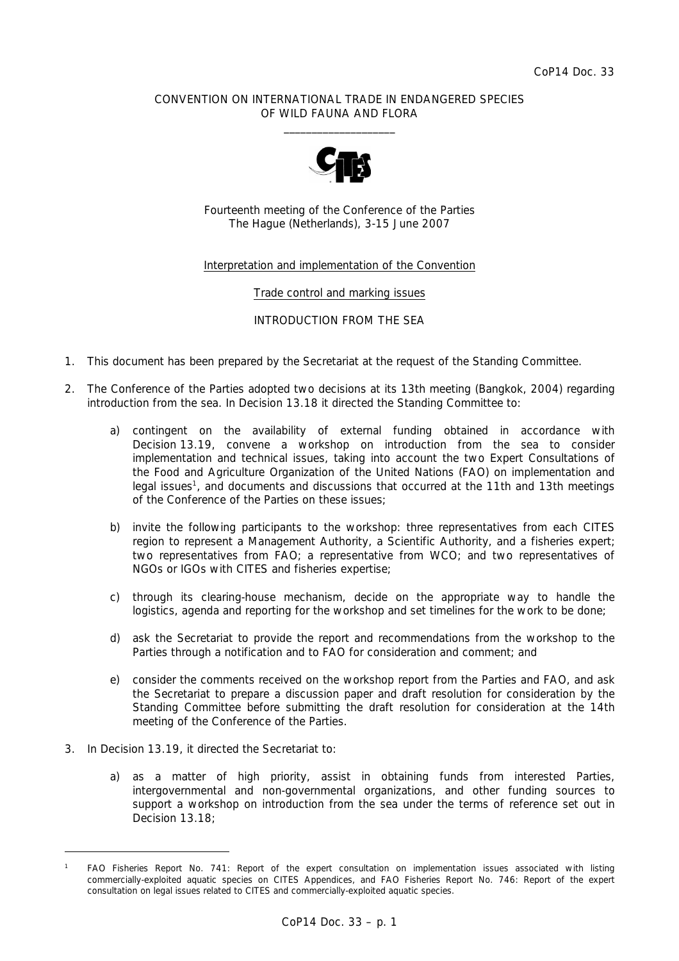### CONVENTION ON INTERNATIONAL TRADE IN ENDANGERED SPECIES OF WILD FAUNA AND FLORA  $\frac{1}{2}$  , and the set of the set of the set of the set of the set of the set of the set of the set of the set of the set of the set of the set of the set of the set of the set of the set of the set of the set of the set



Fourteenth meeting of the Conference of the Parties The Hague (Netherlands), 3-15 June 2007

### Interpretation and implementation of the Convention

Trade control and marking issues

INTRODUCTION FROM THE SEA

- 1. This document has been prepared by the Secretariat at the request of the Standing Committee.
- 2. The Conference of the Parties adopted two decisions at its 13th meeting (Bangkok, 2004) regarding introduction from the sea. In Decision 13.18 it directed the Standing Committee to:
	- a) contingent on the availability of external funding obtained in accordance with *Decision 13.19, convene a workshop on introduction from the sea to consider implementation and technical issues, taking into account the two Expert Consultations of the Food and Agriculture Organization of the United Nations (FAO) on implementation and*  legal issues<sup>1</sup>, and documents and discussions that occurred at the 11th and 13th meetings *of the Conference of the Parties on these issues;*
	- *b) invite the following participants to the workshop: three representatives from each CITES region to represent a Management Authority, a Scientific Authority, and a fisheries expert; two representatives from FAO; a representative from WCO; and two representatives of NGOs or IGOs with CITES and fisheries expertise;*
	- *c) through its clearing-house mechanism, decide on the appropriate way to handle the logistics, agenda and reporting for the workshop and set timelines for the work to be done;*
	- *d) ask the Secretariat to provide the report and recommendations from the workshop to the Parties through a notification and to FAO for consideration and comment; and*
	- *e) consider the comments received on the workshop report from the Parties and FAO, and ask the Secretariat to prepare a discussion paper and draft resolution for consideration by the Standing Committee before submitting the draft resolution for consideration at the 14th meeting of the Conference of the Parties.*
- 3. In Decision 13.19, it directed the Secretariat to:

 *a) as a matter of high priority, assist in obtaining funds from interested Parties, intergovernmental and non-governmental organizations, and other funding sources to support a workshop on introduction from the sea under the terms of reference set out in Decision 13.18;* 

*<sup>1</sup> FAO Fisheries Report No. 741: Report of the expert consultation on implementation issues associated with listing*  commercially-exploited aquatic species on CITES Appendices, and FAO Fisheries Report No. 746: Report of the expert *consultation on legal issues related to CITES and commercially-exploited aquatic species.*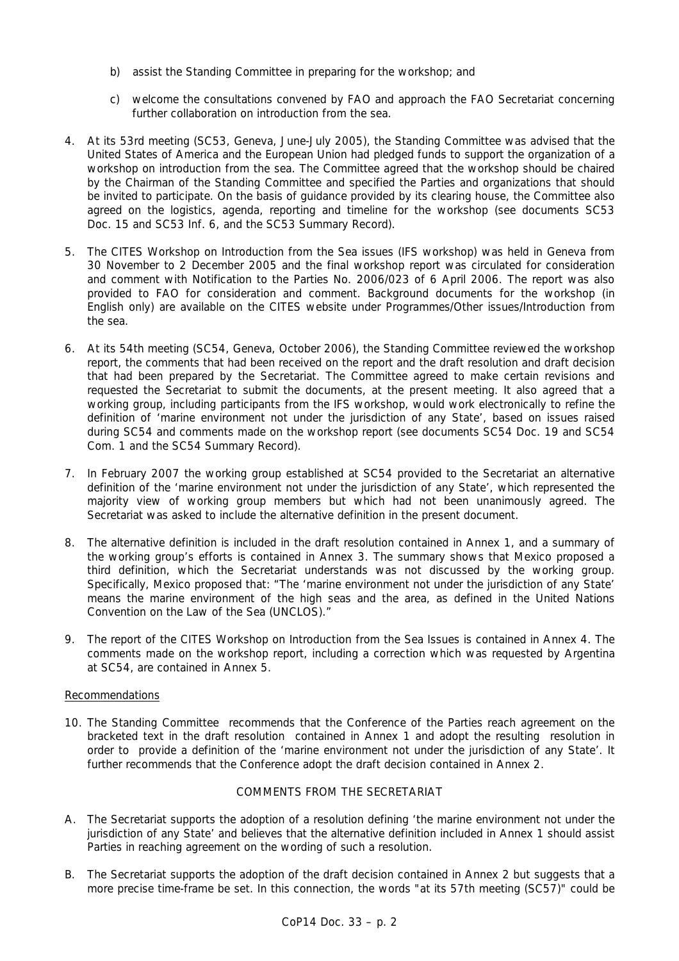- *b) assist the Standing Committee in preparing for the workshop; and*
- *c) welcome the consultations convened by FAO and approach the FAO Secretariat concerning further collaboration on introduction from the sea.*
- 4. At its 53rd meeting (SC53, Geneva, June-July 2005), the Standing Committee was advised that the United States of America and the European Union had pledged funds to support the organization of a workshop on introduction from the sea. The Committee agreed that the workshop should be chaired by the Chairman of the Standing Committee and specified the Parties and organizations that should be invited to participate. On the basis of guidance provided by its clearing house, the Committee also agreed on the logistics, agenda, reporting and timeline for the workshop (see documents SC53 Doc. 15 and SC53 Inf. 6, and the SC53 Summary Record).
- 5. The CITES Workshop on Introduction from the Sea issues (IFS workshop) was held in Geneva from 30 November to 2 December 2005 and the final workshop report was circulated for consideration and comment with Notification to the Parties No. 2006/023 of 6 April 2006. The report was also provided to FAO for consideration and comment. Background documents for the workshop (in English only) are available on the CITES website under Programmes/Other issues/Introduction from the sea.
- 6. At its 54th meeting (SC54, Geneva, October 2006), the Standing Committee reviewed the workshop report, the comments that had been received on the report and the draft resolution and draft decision that had been prepared by the Secretariat. The Committee agreed to make certain revisions and requested the Secretariat to submit the documents, at the present meeting. It also agreed that a working group, including participants from the IFS workshop, would work electronically to refine the definition of 'marine environment not under the jurisdiction of any State', based on issues raised during SC54 and comments made on the workshop report (see documents SC54 Doc. 19 and SC54 Com. 1 and the SC54 Summary Record).
- 7. In February 2007 the working group established at SC54 provided to the Secretariat an alternative definition of the 'marine environment not under the jurisdiction of any State', which represented the majority view of working group members but which had not been unanimously agreed. The Secretariat was asked to include the alternative definition in the present document.
- 8. The alternative definition is included in the draft resolution contained in Annex 1, and a summary of the working group's efforts is contained in Annex 3. The summary shows that Mexico proposed a third definition, which the Secretariat understands was not discussed by the working group. Specifically, Mexico proposed that: "The 'marine environment not under the jurisdiction of any State' means the marine environment of the high seas and the area, as defined in the United Nations Convention on the Law of the Sea (UNCLOS)."
- 9. The report of the CITES Workshop on Introduction from the Sea Issues is contained in Annex 4. The comments made on the workshop report, including a correction which was requested by Argentina at SC54, are contained in Annex 5.

## Recommendations

10. The Standing Committee recommends that the Conference of the Parties reach agreement on the bracketed text in the draft resolution contained in Annex 1 and adopt the resulting resolution in order to provide a definition of the 'marine environment not under the jurisdiction of any State'. It further recommends that the Conference adopt the draft decision contained in Annex 2.

# COMMENTS FROM THE SECRETARIAT

- A. The Secretariat supports the adoption of a resolution defining 'the marine environment not under the jurisdiction of any State' and believes that the alternative definition included in Annex 1 should assist Parties in reaching agreement on the wording of such a resolution.
- B. The Secretariat supports the adoption of the draft decision contained in Annex 2 but suggests that a more precise time-frame be set. In this connection, the words "at its 57th meeting (SC57)" could be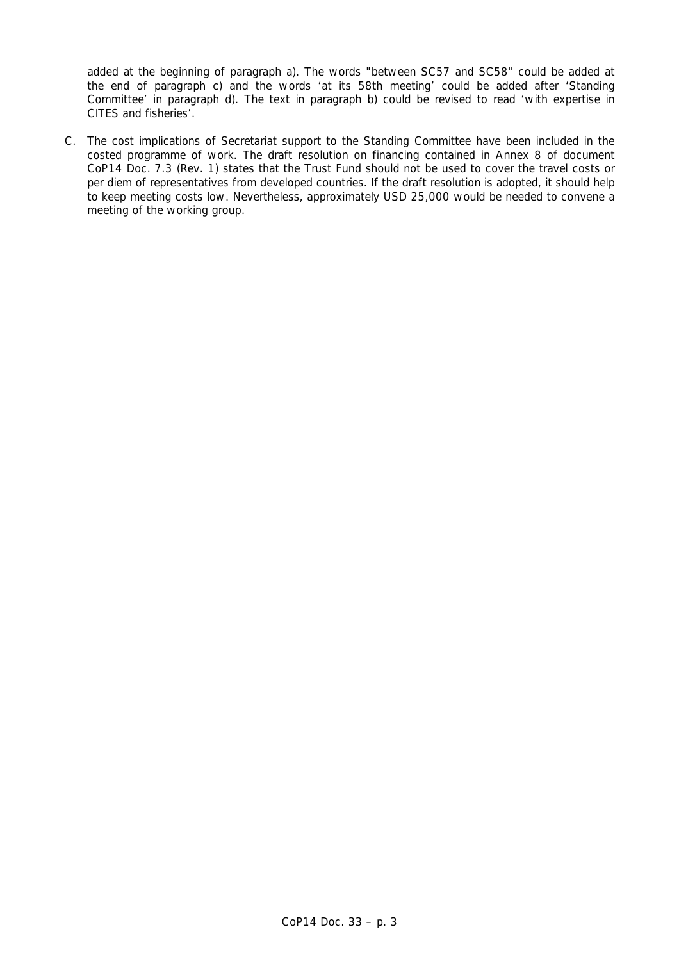added at the beginning of paragraph a). The words "between SC57 and SC58" could be added at the end of paragraph c) and the words 'at its 58th meeting' could be added after 'Standing Committee' in paragraph d). The text in paragraph b) could be revised to read 'with expertise in CITES and fisheries'.

C. The cost implications of Secretariat support to the Standing Committee have been included in the costed programme of work. The draft resolution on financing contained in Annex 8 of document CoP14 Doc. 7.3 (Rev. 1) states that the Trust Fund should not be used to cover the travel costs or *per diem* of representatives from developed countries. If the draft resolution is adopted, it should help to keep meeting costs low. Nevertheless, approximately USD 25,000 would be needed to convene a meeting of the working group.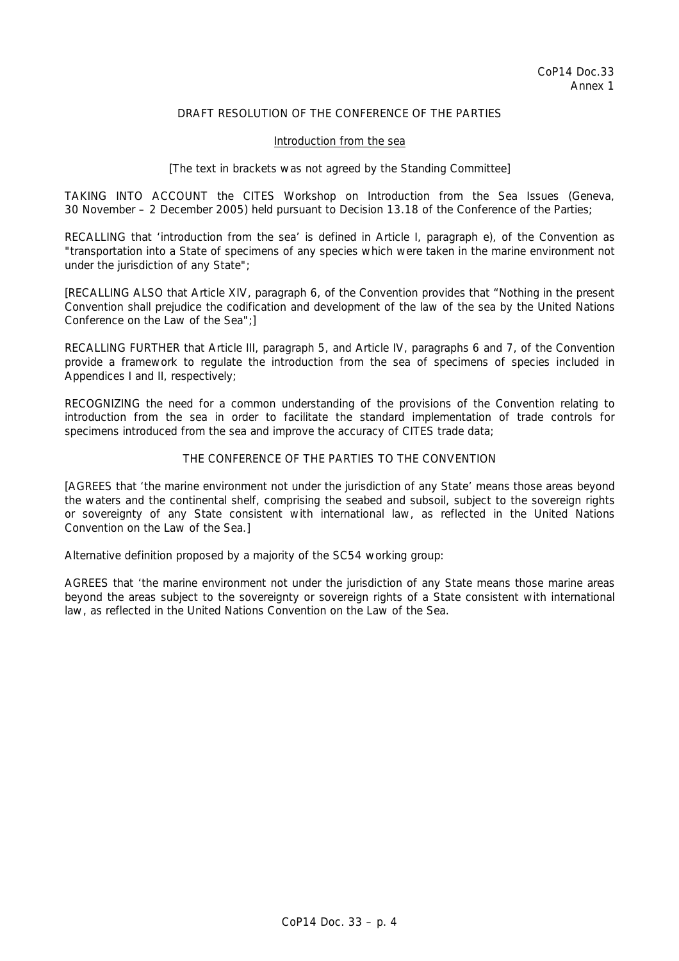## DRAFT RESOLUTION OF THE CONFERENCE OF THE PARTIES

#### Introduction from the sea

### *[The text in brackets was not agreed by the Standing Committee]*

TAKING INTO ACCOUNT the CITES Workshop on Introduction from the Sea Issues (Geneva, 30 November – 2 December 2005) held pursuant to Decision 13.18 of the Conference of the Parties;

RECALLING that 'introduction from the sea' is defined in Article I, paragraph e), of the Convention as "transportation into a State of specimens of any species which were taken in the marine environment not under the jurisdiction of any State";

[RECALLING ALSO that Article XIV, paragraph 6, of the Convention provides that "Nothing in the present Convention shall prejudice the codification and development of the law of the sea by the United Nations Conference on the Law of the Sea";]

RECALLING FURTHER that Article III, paragraph 5, and Article IV, paragraphs 6 and 7, of the Convention provide a framework to regulate the introduction from the sea of specimens of species included in Appendices I and II, respectively;

RECOGNIZING the need for a common understanding of the provisions of the Convention relating to introduction from the sea in order to facilitate the standard implementation of trade controls for specimens introduced from the sea and improve the accuracy of CITES trade data;

### THE CONFERENCE OF THE PARTIES TO THE CONVENTION

[AGREES that 'the marine environment not under the jurisdiction of any State' means those areas beyond the waters and the continental shelf, comprising the seabed and subsoil, subject to the sovereign rights or sovereignty of any State consistent with international law, as reflected in the United Nations Convention on the Law of the Sea.]

### *Alternative definition proposed by a majority of the SC54 working group:*

AGREES that 'the marine environment not under the jurisdiction of any State means those marine areas beyond the areas subject to the sovereignty or sovereign rights of a State consistent with international law, as reflected in the United Nations Convention on the Law of the Sea.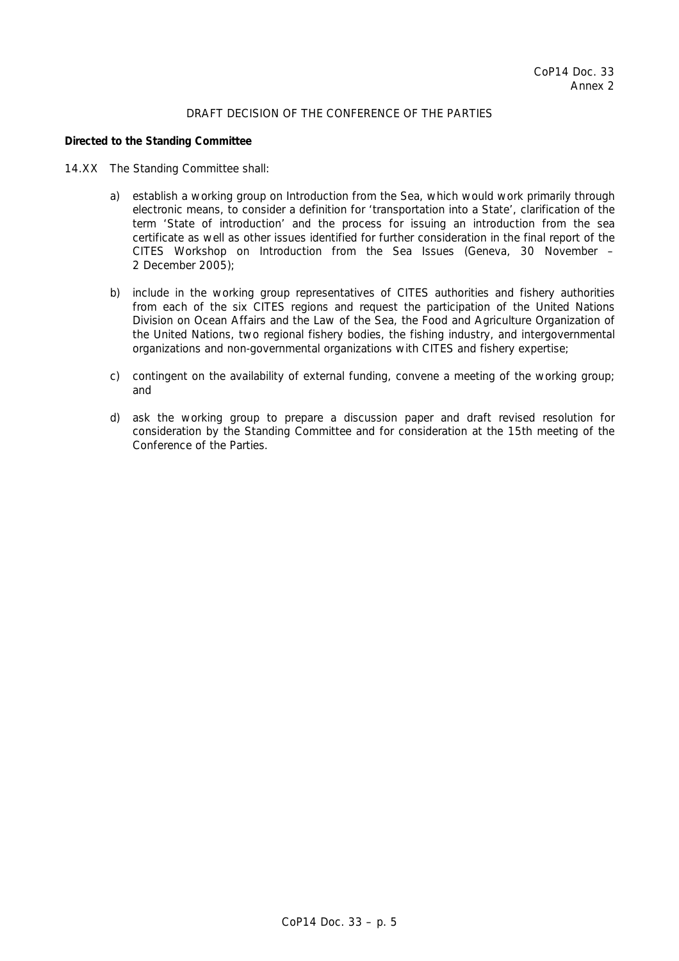## DRAFT DECISION OF THE CONFERENCE OF THE PARTIES

### *Directed to the Standing Committee*

- 14.XX The Standing Committee shall:
	- a) establish a working group on Introduction from the Sea, which would work primarily through electronic means, to consider a definition for 'transportation into a State', clarification of the term 'State of introduction' and the process for issuing an introduction from the sea certificate as well as other issues identified for further consideration in the final report of the CITES Workshop on Introduction from the Sea Issues (Geneva, 30 November – 2 December 2005);
	- b) include in the working group representatives of CITES authorities and fishery authorities from each of the six CITES regions and request the participation of the United Nations Division on Ocean Affairs and the Law of the Sea, the Food and Agriculture Organization of the United Nations, two regional fishery bodies, the fishing industry, and intergovernmental organizations and non-governmental organizations with CITES and fishery expertise;
	- c) contingent on the availability of external funding, convene a meeting of the working group; and
	- d) ask the working group to prepare a discussion paper and draft revised resolution for consideration by the Standing Committee and for consideration at the 15th meeting of the Conference of the Parties.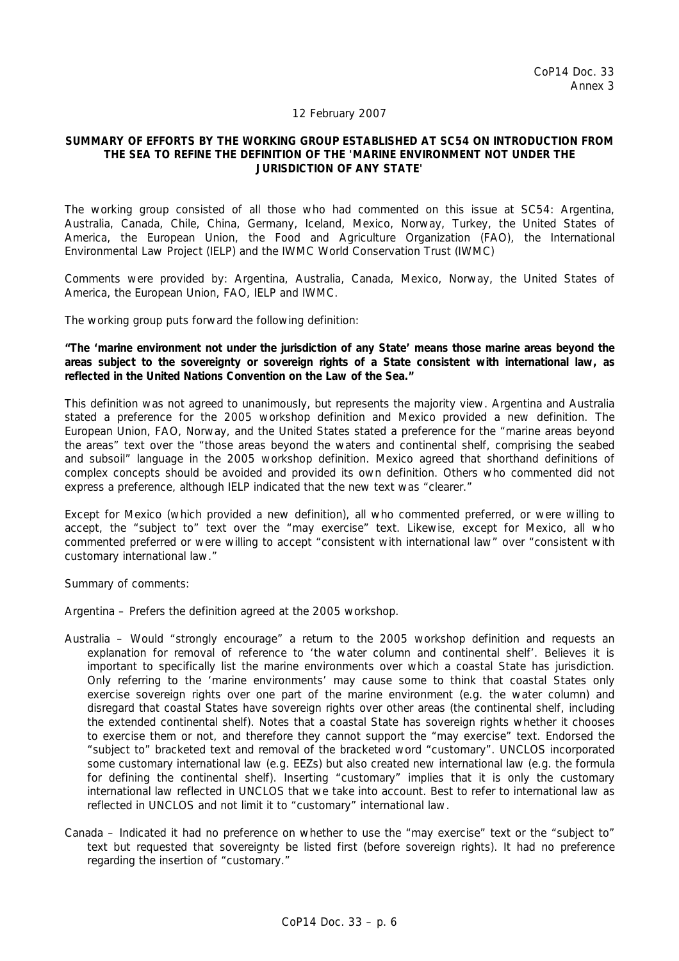### 12 February 2007

### **SUMMARY OF EFFORTS BY THE WORKING GROUP ESTABLISHED AT SC54 ON INTRODUCTION FROM THE SEA TO REFINE THE DEFINITION OF THE 'MARINE ENVIRONMENT NOT UNDER THE JURISDICTION OF ANY STATE'**

The working group consisted of all those who had commented on this issue at SC54: Argentina, Australia, Canada, Chile, China, Germany, Iceland, Mexico, Norway, Turkey, the United States of America, the European Union, the Food and Agriculture Organization (FAO), the International Environmental Law Project (IELP) and the IWMC World Conservation Trust (IWMC)

Comments were provided by: Argentina, Australia, Canada, Mexico, Norway, the United States of America, the European Union, FAO, IELP and IWMC.

The working group puts forward the following definition:

**"The 'marine environment not under the jurisdiction of any State' means those marine areas beyond the areas subject to the sovereignty or sovereign rights of a State consistent with international law, as reflected in the United Nations Convention on the Law of the Sea."** 

This definition was not agreed to unanimously, but represents the majority view. Argentina and Australia stated a preference for the 2005 workshop definition and Mexico provided a new definition. The European Union, FAO, Norway, and the United States stated a preference for the "marine areas beyond the areas" text over the "those areas beyond the waters and continental shelf, comprising the seabed and subsoil" language in the 2005 workshop definition. Mexico agreed that shorthand definitions of complex concepts should be avoided and provided its own definition. Others who commented did not express a preference, although IELP indicated that the new text was "clearer."

Except for Mexico (which provided a new definition), all who commented preferred, or were willing to accept, the "subject to" text over the "may exercise" text. Likewise, except for Mexico, all who commented preferred or were willing to accept "consistent with international law" over "consistent with customary international law."

Summary of comments:

Argentina – Prefers the definition agreed at the 2005 workshop.

- Australia Would "strongly encourage" a return to the 2005 workshop definition and requests an explanation for removal of reference to 'the water column and continental shelf'. Believes it is important to specifically list the marine environments over which a coastal State has jurisdiction. Only referring to the 'marine environments' may cause some to think that coastal States only exercise sovereign rights over one part of the marine environment (e.g. the water column) and disregard that coastal States have sovereign rights over other areas (the continental shelf, including the extended continental shelf). Notes that a coastal State has sovereign rights whether it chooses to exercise them or not, and therefore they cannot support the "may exercise" text. Endorsed the "subject to" bracketed text and removal of the bracketed word "customary". UNCLOS incorporated some customary international law (e.g. EEZs) but also created new international law (e.g. the formula for defining the continental shelf). Inserting "customary" implies that it is only the customary international law reflected in UNCLOS that we take into account. Best to refer to international law as reflected in UNCLOS and not limit it to "customary" international law.
- Canada Indicated it had no preference on whether to use the "may exercise" text or the "subject to" text but requested that sovereignty be listed first (before sovereign rights). It had no preference regarding the insertion of "customary."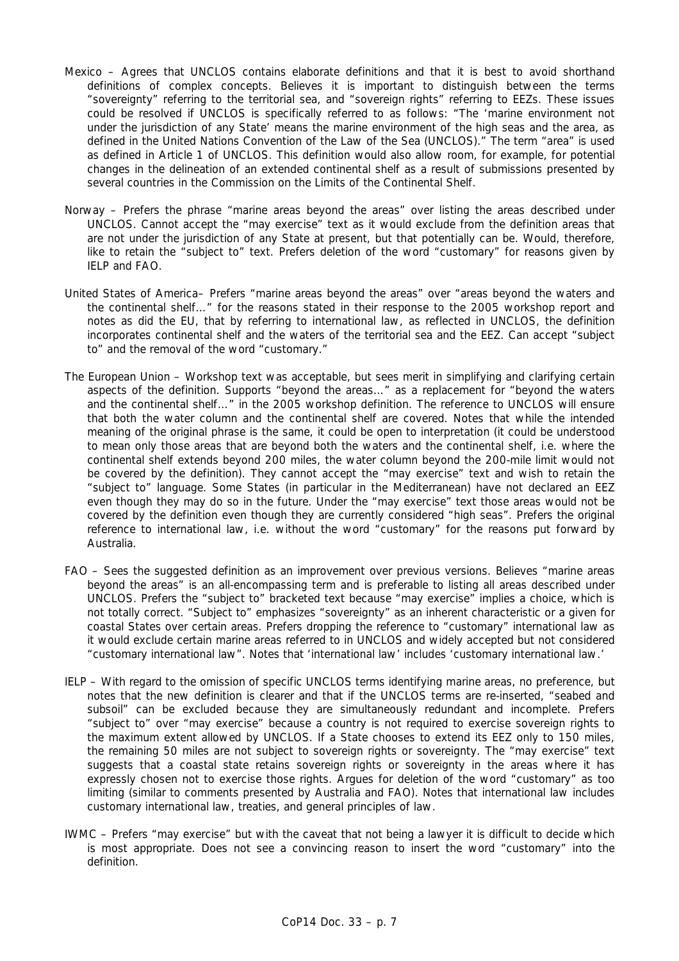- Mexico Agrees that UNCLOS contains elaborate definitions and that it is best to avoid shorthand definitions of complex concepts. Believes it is important to distinguish between the terms "sovereignty" referring to the territorial sea, and "sovereign rights" referring to EEZs. These issues could be resolved if UNCLOS is specifically referred to as follows: "The 'marine environment not under the jurisdiction of any State' means the marine environment of the high seas and the area, as defined in the United Nations Convention of the Law of the Sea (UNCLOS)." The term "area" is used as defined in Article 1 of UNCLOS. This definition would also allow room, for example, for potential changes in the delineation of an extended continental shelf as a result of submissions presented by several countries in the Commission on the Limits of the Continental Shelf.
- Norway Prefers the phrase "marine areas beyond the areas" over listing the areas described under UNCLOS. Cannot accept the "may exercise" text as it would exclude from the definition areas that are not under the jurisdiction of any State at present, but that potentially can be. Would, therefore, like to retain the "subject to" text. Prefers deletion of the word "customary" for reasons given by IELP and FAO.
- United States of America– Prefers "marine areas beyond the areas" over "areas beyond the waters and the continental shelf…" for the reasons stated in their response to the 2005 workshop report and notes as did the EU, that by referring to international law, as reflected in UNCLOS, the definition incorporates continental shelf and the waters of the territorial sea and the EEZ. Can accept "subject to" and the removal of the word "customary."
- The European Union Workshop text was acceptable, but sees merit in simplifying and clarifying certain aspects of the definition. Supports "beyond the areas…" as a replacement for "beyond the waters and the continental shelf…" in the 2005 workshop definition. The reference to UNCLOS will ensure that both the water column and the continental shelf are covered. Notes that while the intended meaning of the original phrase is the same, it could be open to interpretation (it could be understood to mean only those areas that are beyond both the waters and the continental shelf, i.e. where the continental shelf extends beyond 200 miles, the water column beyond the 200-mile limit would not be covered by the definition). They cannot accept the "may exercise" text and wish to retain the "subject to" language. Some States (in particular in the Mediterranean) have not declared an EEZ even though they may do so in the future. Under the "may exercise" text those areas would not be covered by the definition even though they are currently considered "high seas". Prefers the original reference to international law, i.e. without the word "customary" for the reasons put forward by Australia.
- FAO Sees the suggested definition as an improvement over previous versions. Believes "marine areas beyond the areas" is an all-encompassing term and is preferable to listing all areas described under UNCLOS. Prefers the "subject to" bracketed text because "may exercise" implies a choice, which is not totally correct. "Subject to" emphasizes "sovereignty" as an inherent characteristic or a given for coastal States over certain areas. Prefers dropping the reference to "customary" international law as it would exclude certain marine areas referred to in UNCLOS and widely accepted but not considered "customary international law". Notes that 'international law' includes 'customary international law.'
- IELP With regard to the omission of specific UNCLOS terms identifying marine areas, no preference, but notes that the new definition is clearer and that if the UNCLOS terms are re-inserted, "seabed and subsoil" can be excluded because they are simultaneously redundant and incomplete. Prefers "subject to" over "may exercise" because a country is not required to exercise sovereign rights to the maximum extent allowed by UNCLOS. If a State chooses to extend its EEZ only to 150 miles, the remaining 50 miles are not subject to sovereign rights or sovereignty. The "may exercise" text suggests that a coastal state retains sovereign rights or sovereignty in the areas where it has expressly chosen not to exercise those rights. Argues for deletion of the word "customary" as too limiting (similar to comments presented by Australia and FAO). Notes that international law includes customary international law, treaties, and general principles of law.
- IWMC Prefers "may exercise" but with the caveat that not being a lawyer it is difficult to decide which is most appropriate. Does not see a convincing reason to insert the word "customary" into the definition.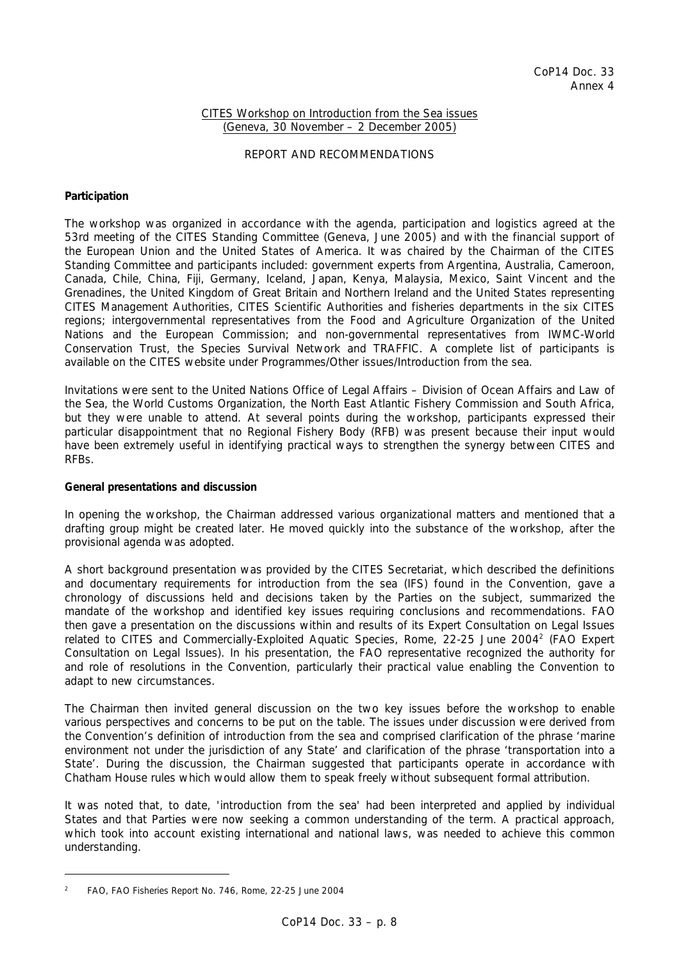## CITES Workshop on Introduction from the Sea issues (Geneva, 30 November – 2 December 2005)

### REPORT AND RECOMMENDATIONS

### **Participation**

The workshop was organized in accordance with the agenda, participation and logistics agreed at the 53rd meeting of the CITES Standing Committee (Geneva, June 2005) and with the financial support of the European Union and the United States of America. It was chaired by the Chairman of the CITES Standing Committee and participants included: government experts from Argentina, Australia, Cameroon, Canada, Chile, China, Fiji, Germany, Iceland, Japan, Kenya, Malaysia, Mexico, Saint Vincent and the Grenadines, the United Kingdom of Great Britain and Northern Ireland and the United States representing CITES Management Authorities, CITES Scientific Authorities and fisheries departments in the six CITES regions; intergovernmental representatives from the Food and Agriculture Organization of the United Nations and the European Commission; and non-governmental representatives from IWMC-World Conservation Trust, the Species Survival Network and TRAFFIC. A complete list of participants is available on the CITES website under Programmes/Other issues/Introduction from the sea.

Invitations were sent to the United Nations Office of Legal Affairs – Division of Ocean Affairs and Law of the Sea, the World Customs Organization, the North East Atlantic Fishery Commission and South Africa, but they were unable to attend. At several points during the workshop, participants expressed their particular disappointment that no Regional Fishery Body (RFB) was present because their input would have been extremely useful in identifying practical ways to strengthen the synergy between CITES and RFBs.

### **General presentations and discussion**

In opening the workshop, the Chairman addressed various organizational matters and mentioned that a drafting group might be created later. He moved quickly into the substance of the workshop, after the provisional agenda was adopted.

A short background presentation was provided by the CITES Secretariat, which described the definitions and documentary requirements for introduction from the sea (IFS) found in the Convention, gave a chronology of discussions held and decisions taken by the Parties on the subject, summarized the mandate of the workshop and identified key issues requiring conclusions and recommendations. FAO then gave a presentation on the discussions within and results of its Expert Consultation on Legal Issues related to CITES and Commercially-Exploited Aquatic Species, Rome, 22-25 June 2004<sup>2</sup> (FAO Expert Consultation on Legal Issues). In his presentation, the FAO representative recognized the authority for and role of resolutions in the Convention, particularly their practical value enabling the Convention to adapt to new circumstances.

The Chairman then invited general discussion on the two key issues before the workshop to enable various perspectives and concerns to be put on the table. The issues under discussion were derived from the Convention's definition of introduction from the sea and comprised clarification of the phrase 'marine environment not under the jurisdiction of any State' and clarification of the phrase 'transportation into a State'. During the discussion, the Chairman suggested that participants operate in accordance with Chatham House rules which would allow them to speak freely without subsequent formal attribution.

It was noted that, to date, 'introduction from the sea' had been interpreted and applied by individual States and that Parties were now seeking a common understanding of the term. A practical approach, which took into account existing international and national laws, was needed to achieve this common understanding.

<sup>2</sup> *FAO, FAO Fisheries Report No. 746, Rome, 22-25 June 2004*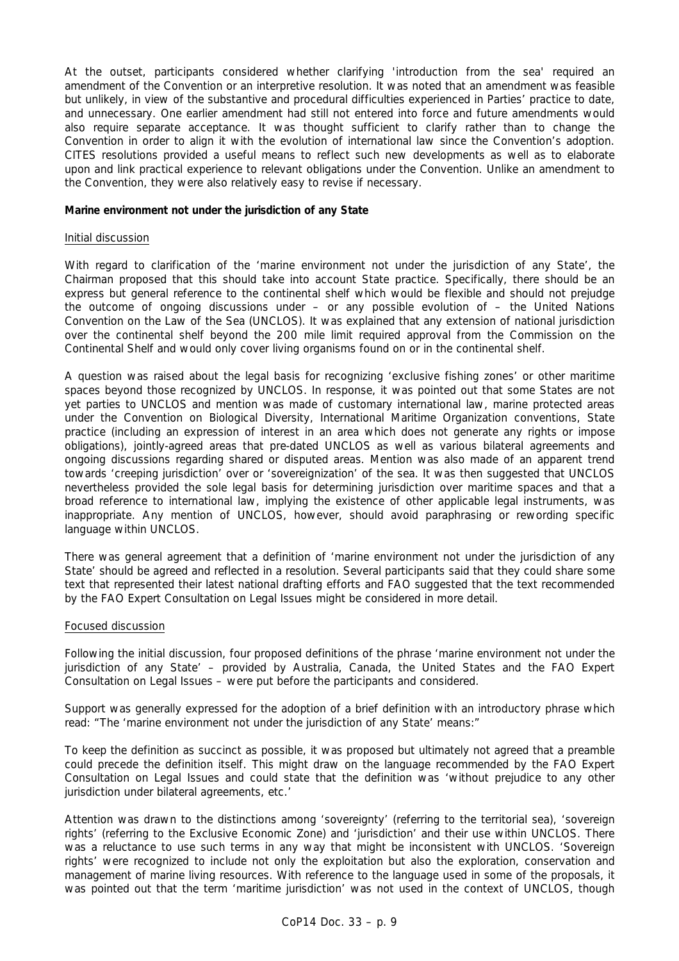At the outset, participants considered whether clarifying 'introduction from the sea' required an amendment of the Convention or an interpretive resolution. It was noted that an amendment was feasible but unlikely, in view of the substantive and procedural difficulties experienced in Parties' practice to date, and unnecessary. One earlier amendment had still not entered into force and future amendments would also require separate acceptance. It was thought sufficient to clarify rather than to change the Convention in order to align it with the evolution of international law since the Convention's adoption. CITES resolutions provided a useful means to reflect such new developments as well as to elaborate upon and link practical experience to relevant obligations under the Convention. Unlike an amendment to the Convention, they were also relatively easy to revise if necessary.

### **Marine environment not under the jurisdiction of any State**

### Initial discussion

With regard to clarification of the 'marine environment not under the jurisdiction of any State', the Chairman proposed that this should take into account State practice. Specifically, there should be an express but general reference to the continental shelf which would be flexible and should not prejudge the outcome of ongoing discussions under – or any possible evolution of – the United Nations Convention on the Law of the Sea (UNCLOS). It was explained that any extension of national jurisdiction over the continental shelf beyond the 200 mile limit required approval from the Commission on the Continental Shelf and would only cover living organisms found on or in the continental shelf.

A question was raised about the legal basis for recognizing 'exclusive fishing zones' or other maritime spaces beyond those recognized by UNCLOS. In response, it was pointed out that some States are not yet parties to UNCLOS and mention was made of customary international law, marine protected areas under the Convention on Biological Diversity, International Maritime Organization conventions, State practice (including an expression of interest in an area which does not generate any rights or impose obligations), jointly-agreed areas that pre-dated UNCLOS as well as various bilateral agreements and ongoing discussions regarding shared or disputed areas. Mention was also made of an apparent trend towards 'creeping jurisdiction' over or 'sovereignization' of the sea. It was then suggested that UNCLOS nevertheless provided the sole legal basis for determining jurisdiction over maritime spaces and that a broad reference to international law, implying the existence of other applicable legal instruments, was inappropriate. Any mention of UNCLOS, however, should avoid paraphrasing or rewording specific language within UNCLOS.

There was general agreement that a definition of 'marine environment not under the jurisdiction of any State' should be agreed and reflected in a resolution. Several participants said that they could share some text that represented their latest national drafting efforts and FAO suggested that the text recommended by the FAO Expert Consultation on Legal Issues might be considered in more detail.

### Focused discussion

Following the initial discussion, four proposed definitions of the phrase 'marine environment not under the jurisdiction of any State' – provided by Australia, Canada, the United States and the FAO Expert Consultation on Legal Issues – were put before the participants and considered.

Support was generally expressed for the adoption of a brief definition with an introductory phrase which read: "The 'marine environment not under the jurisdiction of any State' means:"

To keep the definition as succinct as possible, it was proposed but ultimately not agreed that a preamble could precede the definition itself. This might draw on the language recommended by the FAO Expert Consultation on Legal Issues and could state that the definition was 'without prejudice to any other jurisdiction under bilateral agreements, etc.'

Attention was drawn to the distinctions among 'sovereignty' (referring to the territorial sea), 'sovereign rights' (referring to the Exclusive Economic Zone) and 'jurisdiction' and their use within UNCLOS. There was a reluctance to use such terms in any way that might be inconsistent with UNCLOS. 'Sovereign rights' were recognized to include not only the exploitation but also the exploration, conservation and management of marine living resources. With reference to the language used in some of the proposals, it was pointed out that the term 'maritime jurisdiction' was not used in the context of UNCLOS, though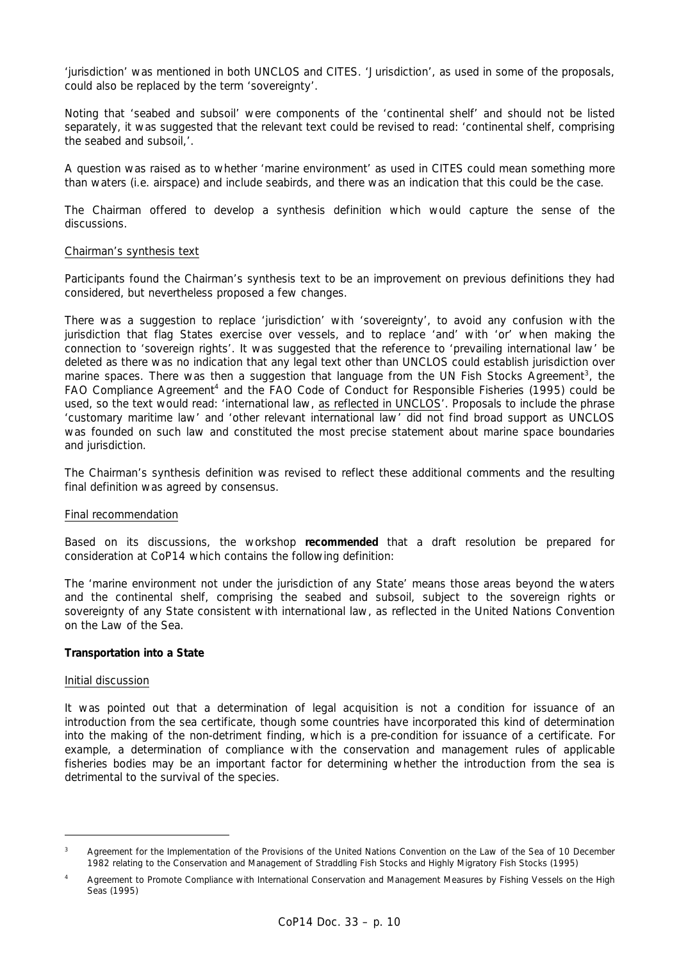'jurisdiction' was mentioned in both UNCLOS and CITES. 'Jurisdiction', as used in some of the proposals, could also be replaced by the term 'sovereignty'.

Noting that 'seabed and subsoil' were components of the 'continental shelf' and should not be listed separately, it was suggested that the relevant text could be revised to read: 'continental shelf, comprising the seabed and subsoil,'.

A question was raised as to whether 'marine environment' as used in CITES could mean something more than waters (i.e. airspace) and include seabirds, and there was an indication that this could be the case.

The Chairman offered to develop a synthesis definition which would capture the sense of the discussions.

### Chairman's synthesis text

Participants found the Chairman's synthesis text to be an improvement on previous definitions they had considered, but nevertheless proposed a few changes.

There was a suggestion to replace 'jurisdiction' with 'sovereignty', to avoid any confusion with the jurisdiction that flag States exercise over vessels, and to replace 'and' with 'or' when making the connection to 'sovereign rights'. It was suggested that the reference to 'prevailing international law' be deleted as there was no indication that any legal text other than UNCLOS could establish jurisdiction over marine spaces. There was then a suggestion that language from the UN Fish Stocks Agreement<sup>3</sup>, the FAO Compliance Agreement<sup>4</sup> and the FAO Code of Conduct for Responsible Fisheries (1995) could be used, so the text would read: 'international law, as reflected in UNCLOS'. Proposals to include the phrase 'customary maritime law' and 'other relevant international law' did not find broad support as UNCLOS was founded on such law and constituted the most precise statement about marine space boundaries and jurisdiction.

The Chairman's synthesis definition was revised to reflect these additional comments and the resulting final definition was agreed by consensus.

### Final recommendation

Based on its discussions, the workshop **recommended** that a draft resolution be prepared for consideration at CoP14 which contains the following definition:

The 'marine environment not under the jurisdiction of any State' means those areas beyond the waters and the continental shelf, comprising the seabed and subsoil, subject to the sovereign rights or sovereignty of any State consistent with international law, as reflected in the United Nations Convention on the Law of the Sea.

### **Transportation into a State**

### Initial discussion

It was pointed out that a determination of legal acquisition is not a condition for issuance of an introduction from the sea certificate, though some countries have incorporated this kind of determination into the making of the non-detriment finding, which is a pre-condition for issuance of a certificate. For example, a determination of compliance with the conservation and management rules of applicable fisheries bodies may be an important factor for determining whether the introduction from the sea is detrimental to the survival of the species.

<sup>3</sup> *Agreement for the Implementation of the Provisions of the United Nations Convention on the Law of the Sea of 10 December 1982 relating to the Conservation and Management of Straddling Fish Stocks and Highly Migratory Fish Stocks (1995)* 

<sup>4</sup> *Agreement to Promote Compliance with International Conservation and Management Measures by Fishing Vessels on the High Seas (1995)*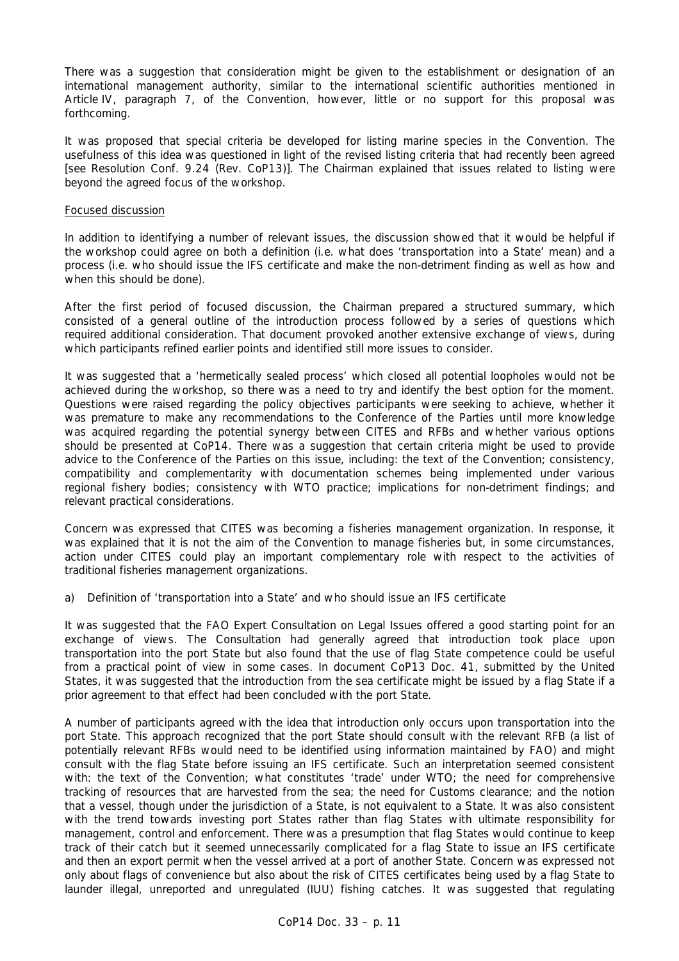There was a suggestion that consideration might be given to the establishment or designation of an international management authority, similar to the international scientific authorities mentioned in Article IV, paragraph 7, of the Convention, however, little or no support for this proposal was forthcoming.

It was proposed that special criteria be developed for listing marine species in the Convention. The usefulness of this idea was questioned in light of the revised listing criteria that had recently been agreed [see Resolution Conf. 9.24 (Rev. CoP13)]. The Chairman explained that issues related to listing were beyond the agreed focus of the workshop.

### Focused discussion

In addition to identifying a number of relevant issues, the discussion showed that it would be helpful if the workshop could agree on both a definition (i.e. what does 'transportation into a State' mean) and a process (i.e. who should issue the IFS certificate and make the non-detriment finding as well as how and when this should be done).

After the first period of focused discussion, the Chairman prepared a structured summary, which consisted of a general outline of the introduction process followed by a series of questions which required additional consideration. That document provoked another extensive exchange of views, during which participants refined earlier points and identified still more issues to consider.

It was suggested that a 'hermetically sealed process' which closed all potential loopholes would not be achieved during the workshop, so there was a need to try and identify the best option for the moment. Questions were raised regarding the policy objectives participants were seeking to achieve, whether it was premature to make any recommendations to the Conference of the Parties until more knowledge was acquired regarding the potential synergy between CITES and RFBs and whether various options should be presented at CoP14. There was a suggestion that certain criteria might be used to provide advice to the Conference of the Parties on this issue, including: the text of the Convention; consistency, compatibility and complementarity with documentation schemes being implemented under various regional fishery bodies; consistency with WTO practice; implications for non-detriment findings; and relevant practical considerations.

Concern was expressed that CITES was becoming a fisheries management organization. In response, it was explained that it is not the aim of the Convention to manage fisheries but, in some circumstances, action under CITES could play an important complementary role with respect to the activities of traditional fisheries management organizations.

## *a) Definition of 'transportation into a State' and who should issue an IFS certificate*

It was suggested that the FAO Expert Consultation on Legal Issues offered a good starting point for an exchange of views. The Consultation had generally agreed that introduction took place upon transportation into the port State but also found that the use of flag State competence could be useful from a practical point of view in some cases. In document CoP13 Doc. 41, submitted by the United States, it was suggested that the introduction from the sea certificate might be issued by a flag State if a prior agreement to that effect had been concluded with the port State.

A number of participants agreed with the idea that introduction only occurs upon transportation into the port State. This approach recognized that the port State should consult with the relevant RFB (a list of potentially relevant RFBs would need to be identified using information maintained by FAO) and might consult with the flag State before issuing an IFS certificate. Such an interpretation seemed consistent with: the text of the Convention; what constitutes 'trade' under WTO; the need for comprehensive tracking of resources that are harvested from the sea; the need for Customs clearance; and the notion that a vessel, though under the jurisdiction of a State, is not equivalent to a State. It was also consistent with the trend towards investing port States rather than flag States with ultimate responsibility for management, control and enforcement. There was a presumption that flag States would continue to keep track of their catch but it seemed unnecessarily complicated for a flag State to issue an IFS certificate and then an export permit when the vessel arrived at a port of another State. Concern was expressed not only about flags of convenience but also about the risk of CITES certificates being used by a flag State to launder illegal, unreported and unregulated (IUU) fishing catches. It was suggested that regulating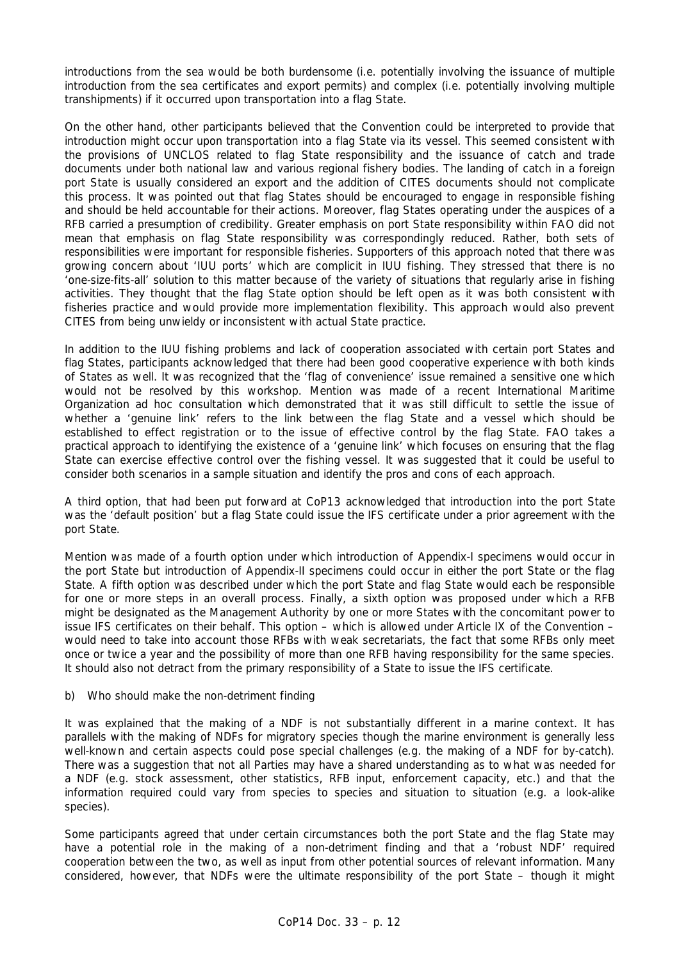introductions from the sea would be both burdensome (i.e. potentially involving the issuance of multiple introduction from the sea certificates and export permits) and complex (i.e. potentially involving multiple transhipments) if it occurred upon transportation into a flag State.

On the other hand, other participants believed that the Convention could be interpreted to provide that introduction might occur upon transportation into a flag State via its vessel. This seemed consistent with the provisions of UNCLOS related to flag State responsibility and the issuance of catch and trade documents under both national law and various regional fishery bodies. The landing of catch in a foreign port State is usually considered an export and the addition of CITES documents should not complicate this process. It was pointed out that flag States should be encouraged to engage in responsible fishing and should be held accountable for their actions. Moreover, flag States operating under the auspices of a RFB carried a presumption of credibility. Greater emphasis on port State responsibility within FAO did not mean that emphasis on flag State responsibility was correspondingly reduced. Rather, both sets of responsibilities were important for responsible fisheries. Supporters of this approach noted that there was growing concern about 'IUU ports' which are complicit in IUU fishing. They stressed that there is no 'one-size-fits-all' solution to this matter because of the variety of situations that regularly arise in fishing activities. They thought that the flag State option should be left open as it was both consistent with fisheries practice and would provide more implementation flexibility. This approach would also prevent CITES from being unwieldy or inconsistent with actual State practice.

In addition to the IUU fishing problems and lack of cooperation associated with certain port States and flag States, participants acknowledged that there had been good cooperative experience with both kinds of States as well. It was recognized that the 'flag of convenience' issue remained a sensitive one which would not be resolved by this workshop. Mention was made of a recent International Maritime Organization *ad hoc* consultation which demonstrated that it was still difficult to settle the issue of whether a 'genuine link' refers to the link between the flag State and a vessel which should be established to effect registration or to the issue of effective control by the flag State. FAO takes a practical approach to identifying the existence of a 'genuine link' which focuses on ensuring that the flag State can exercise effective control over the fishing vessel. It was suggested that it could be useful to consider both scenarios in a sample situation and identify the pros and cons of each approach.

A third option, that had been put forward at CoP13 acknowledged that introduction into the port State was the 'default position' but a flag State could issue the IFS certificate under a prior agreement with the port State.

Mention was made of a fourth option under which introduction of Appendix-I specimens would occur in the port State but introduction of Appendix-II specimens could occur in either the port State or the flag State. A fifth option was described under which the port State and flag State would each be responsible for one or more steps in an overall process. Finally, a sixth option was proposed under which a RFB might be designated as the Management Authority by one or more States with the concomitant power to issue IFS certificates on their behalf. This option – which is allowed under Article IX of the Convention – would need to take into account those RFBs with weak secretariats, the fact that some RFBs only meet once or twice a year and the possibility of more than one RFB having responsibility for the same species. It should also not detract from the primary responsibility of a State to issue the IFS certificate.

## *b) Who should make the non-detriment finding*

It was explained that the making of a NDF is not substantially different in a marine context. It has parallels with the making of NDFs for migratory species though the marine environment is generally less well-known and certain aspects could pose special challenges (e.g. the making of a NDF for by-catch). There was a suggestion that not all Parties may have a shared understanding as to what was needed for a NDF (e.g. stock assessment, other statistics, RFB input, enforcement capacity, etc.) and that the information required could vary from species to species and situation to situation (e.g. a look-alike species).

Some participants agreed that under certain circumstances both the port State and the flag State may have a potential role in the making of a non-detriment finding and that a 'robust NDF' required cooperation between the two, as well as input from other potential sources of relevant information. Many considered, however, that NDFs were the ultimate responsibility of the port State – though it might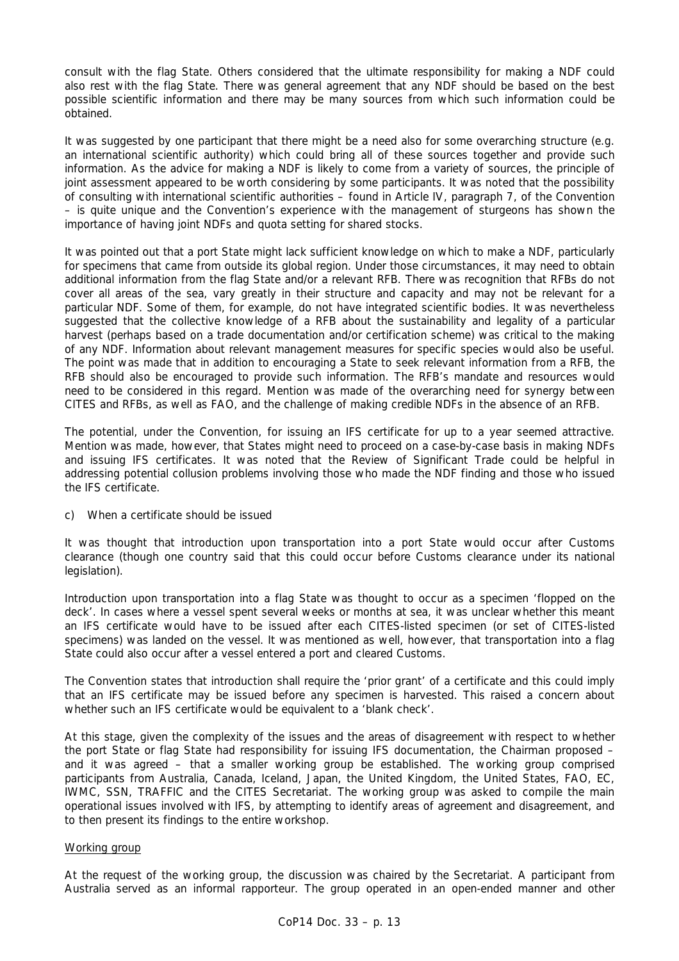consult with the flag State. Others considered that the ultimate responsibility for making a NDF could also rest with the flag State. There was general agreement that any NDF should be based on the best possible scientific information and there may be many sources from which such information could be obtained.

It was suggested by one participant that there might be a need also for some overarching structure (e.g. an international scientific authority) which could bring all of these sources together and provide such information. As the advice for making a NDF is likely to come from a variety of sources, the principle of joint assessment appeared to be worth considering by some participants. It was noted that the possibility of consulting with international scientific authorities – found in Article IV, paragraph 7, of the Convention – is quite unique and the Convention's experience with the management of sturgeons has shown the importance of having joint NDFs and quota setting for shared stocks.

It was pointed out that a port State might lack sufficient knowledge on which to make a NDF, particularly for specimens that came from outside its global region. Under those circumstances, it may need to obtain additional information from the flag State and/or a relevant RFB. There was recognition that RFBs do not cover all areas of the sea, vary greatly in their structure and capacity and may not be relevant for a particular NDF. Some of them, for example, do not have integrated scientific bodies. It was nevertheless suggested that the collective knowledge of a RFB about the sustainability and legality of a particular harvest (perhaps based on a trade documentation and/or certification scheme) was critical to the making of any NDF. Information about relevant management measures for specific species would also be useful. The point was made that in addition to encouraging a State to seek relevant information from a RFB, the RFB should also be encouraged to provide such information. The RFB's mandate and resources would need to be considered in this regard. Mention was made of the overarching need for synergy between CITES and RFBs, as well as FAO, and the challenge of making credible NDFs in the absence of an RFB.

The potential, under the Convention, for issuing an IFS certificate for up to a year seemed attractive. Mention was made, however, that States might need to proceed on a case-by-case basis in making NDFs and issuing IFS certificates. It was noted that the Review of Significant Trade could be helpful in addressing potential collusion problems involving those who made the NDF finding and those who issued the IFS certificate.

## *c) When a certificate should be issued*

It was thought that introduction upon transportation into a port State would occur after Customs clearance (though one country said that this could occur before Customs clearance under its national legislation).

Introduction upon transportation into a flag State was thought to occur as a specimen 'flopped on the deck'. In cases where a vessel spent several weeks or months at sea, it was unclear whether this meant an IFS certificate would have to be issued after each CITES-listed specimen (or set of CITES-listed specimens) was landed on the vessel. It was mentioned as well, however, that transportation into a flag State could also occur after a vessel entered a port and cleared Customs.

The Convention states that introduction shall require the 'prior grant' of a certificate and this could imply that an IFS certificate may be issued before any specimen is harvested. This raised a concern about whether such an IFS certificate would be equivalent to a 'blank check'.

At this stage, given the complexity of the issues and the areas of disagreement with respect to whether the port State or flag State had responsibility for issuing IFS documentation, the Chairman proposed – and it was agreed – that a smaller working group be established. The working group comprised participants from Australia, Canada, Iceland, Japan, the United Kingdom, the United States, FAO, EC, IWMC, SSN, TRAFFIC and the CITES Secretariat. The working group was asked to compile the main operational issues involved with IFS, by attempting to identify areas of agreement and disagreement, and to then present its findings to the entire workshop.

### Working group

At the request of the working group, the discussion was chaired by the Secretariat. A participant from Australia served as an informal rapporteur. The group operated in an open-ended manner and other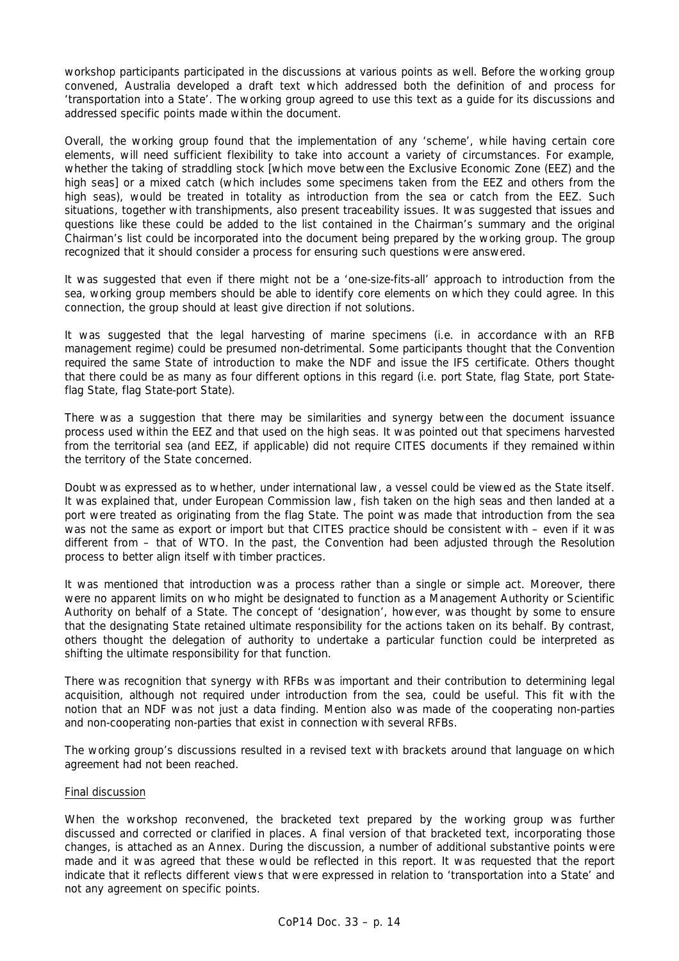workshop participants participated in the discussions at various points as well. Before the working group convened, Australia developed a draft text which addressed both the definition of and process for 'transportation into a State'. The working group agreed to use this text as a guide for its discussions and addressed specific points made within the document.

Overall, the working group found that the implementation of any 'scheme', while having certain core elements, will need sufficient flexibility to take into account a variety of circumstances. For example, whether the taking of straddling stock [which move between the Exclusive Economic Zone (EEZ) and the high seas] or a mixed catch (which includes some specimens taken from the EEZ and others from the high seas), would be treated in totality as introduction from the sea or catch from the EEZ. Such situations, together with transhipments, also present traceability issues. It was suggested that issues and questions like these could be added to the list contained in the Chairman's summary and the original Chairman's list could be incorporated into the document being prepared by the working group. The group recognized that it should consider a process for ensuring such questions were answered.

It was suggested that even if there might not be a 'one-size-fits-all' approach to introduction from the sea, working group members should be able to identify core elements on which they could agree. In this connection, the group should at least give direction if not solutions.

It was suggested that the legal harvesting of marine specimens (i.e. in accordance with an RFB management regime) could be presumed non-detrimental. Some participants thought that the Convention required the same State of introduction to make the NDF and issue the IFS certificate. Others thought that there could be as many as four different options in this regard (i.e. port State, flag State, port Stateflag State, flag State-port State).

There was a suggestion that there may be similarities and synergy between the document issuance process used within the EEZ and that used on the high seas. It was pointed out that specimens harvested from the territorial sea (and EEZ, if applicable) did not require CITES documents if they remained within the territory of the State concerned.

Doubt was expressed as to whether, under international law, a vessel could be viewed as the State itself. It was explained that, under European Commission law, fish taken on the high seas and then landed at a port were treated as originating from the flag State. The point was made that introduction from the sea was not the same as export or import but that CITES practice should be consistent with – even if it was different from – that of WTO. In the past, the Convention had been adjusted through the Resolution process to better align itself with timber practices.

It was mentioned that introduction was a process rather than a single or simple act. Moreover, there were no apparent limits on who might be designated to function as a Management Authority or Scientific Authority on behalf of a State. The concept of 'designation', however, was thought by some to ensure that the designating State retained ultimate responsibility for the actions taken on its behalf. By contrast, others thought the delegation of authority to undertake a particular function could be interpreted as shifting the ultimate responsibility for that function.

There was recognition that synergy with RFBs was important and their contribution to determining legal acquisition, although not required under introduction from the sea, could be useful. This fit with the notion that an NDF was not just a data finding. Mention also was made of the cooperating non-parties and non-cooperating non-parties that exist in connection with several RFBs.

The working group's discussions resulted in a revised text with brackets around that language on which agreement had not been reached.

## Final discussion

When the workshop reconvened, the bracketed text prepared by the working group was further discussed and corrected or clarified in places. A final version of that bracketed text, incorporating those changes, is attached as an Annex. During the discussion, a number of additional substantive points were made and it was agreed that these would be reflected in this report. It was requested that the report indicate that it reflects different views that were expressed in relation to 'transportation into a State' and not any agreement on specific points.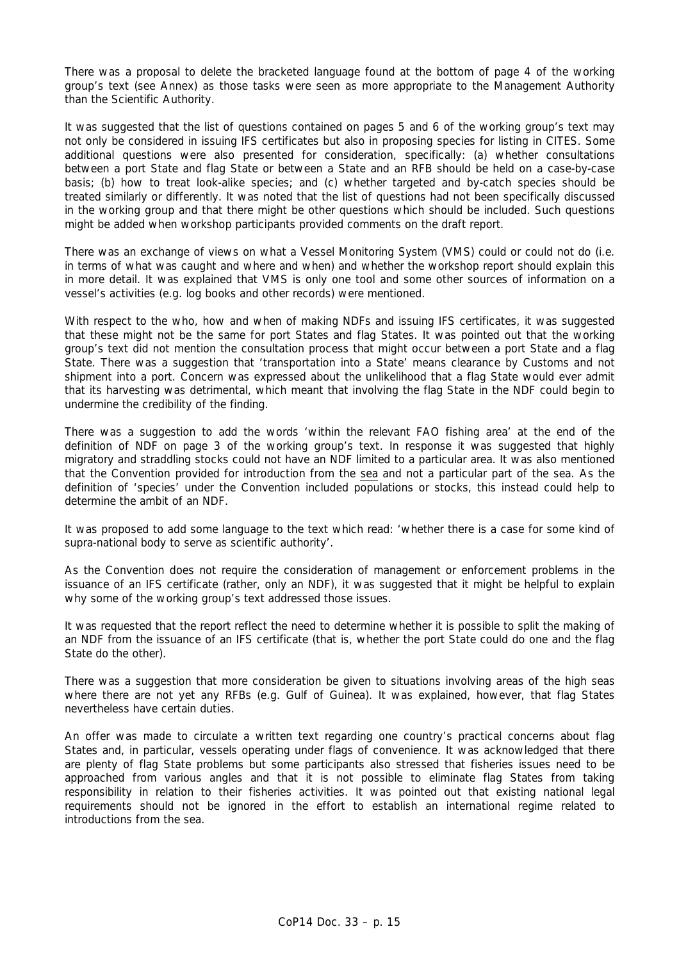There was a proposal to delete the bracketed language found at the bottom of page 4 of the working group's text (see Annex) as those tasks were seen as more appropriate to the Management Authority than the Scientific Authority.

It was suggested that the list of questions contained on pages 5 and 6 of the working group's text may not only be considered in issuing IFS certificates but also in proposing species for listing in CITES. Some additional questions were also presented for consideration, specifically: (a) whether consultations between a port State and flag State or between a State and an RFB should be held on a case-by-case basis; (b) how to treat look-alike species; and (c) whether targeted and by-catch species should be treated similarly or differently. It was noted that the list of questions had not been specifically discussed in the working group and that there might be other questions which should be included. Such questions might be added when workshop participants provided comments on the draft report.

There was an exchange of views on what a Vessel Monitoring System (VMS) could or could not do (i.e. in terms of what was caught and where and when) and whether the workshop report should explain this in more detail. It was explained that VMS is only one tool and some other sources of information on a vessel's activities (e.g. log books and other records) were mentioned.

With respect to the who, how and when of making NDFs and issuing IFS certificates, it was suggested that these might not be the same for port States and flag States. It was pointed out that the working group's text did not mention the consultation process that might occur between a port State and a flag State. There was a suggestion that 'transportation into a State' means clearance by Customs and not shipment into a port. Concern was expressed about the unlikelihood that a flag State would ever admit that its harvesting was detrimental, which meant that involving the flag State in the NDF could begin to undermine the credibility of the finding.

There was a suggestion to add the words 'within the relevant FAO fishing area' at the end of the definition of NDF on page 3 of the working group's text. In response it was suggested that highly migratory and straddling stocks could not have an NDF limited to a particular area. It was also mentioned that the Convention provided for introduction from the sea and not a particular part of the sea. As the definition of 'species' under the Convention included populations or stocks, this instead could help to determine the ambit of an NDF.

It was proposed to add some language to the text which read: 'whether there is a case for some kind of supra-national body to serve as scientific authority'.

As the Convention does not require the consideration of management or enforcement problems in the issuance of an IFS certificate (rather, only an NDF), it was suggested that it might be helpful to explain why some of the working group's text addressed those issues.

It was requested that the report reflect the need to determine whether it is possible to split the making of an NDF from the issuance of an IFS certificate (that is, whether the port State could do one and the flag State do the other).

There was a suggestion that more consideration be given to situations involving areas of the high seas where there are not yet any RFBs (e.g. Gulf of Guinea). It was explained, however, that flag States nevertheless have certain duties.

An offer was made to circulate a written text regarding one country's practical concerns about flag States and, in particular, vessels operating under flags of convenience. It was acknowledged that there are plenty of flag State problems but some participants also stressed that fisheries issues need to be approached from various angles and that it is not possible to eliminate flag States from taking responsibility in relation to their fisheries activities. It was pointed out that existing national legal requirements should not be ignored in the effort to establish an international regime related to introductions from the sea.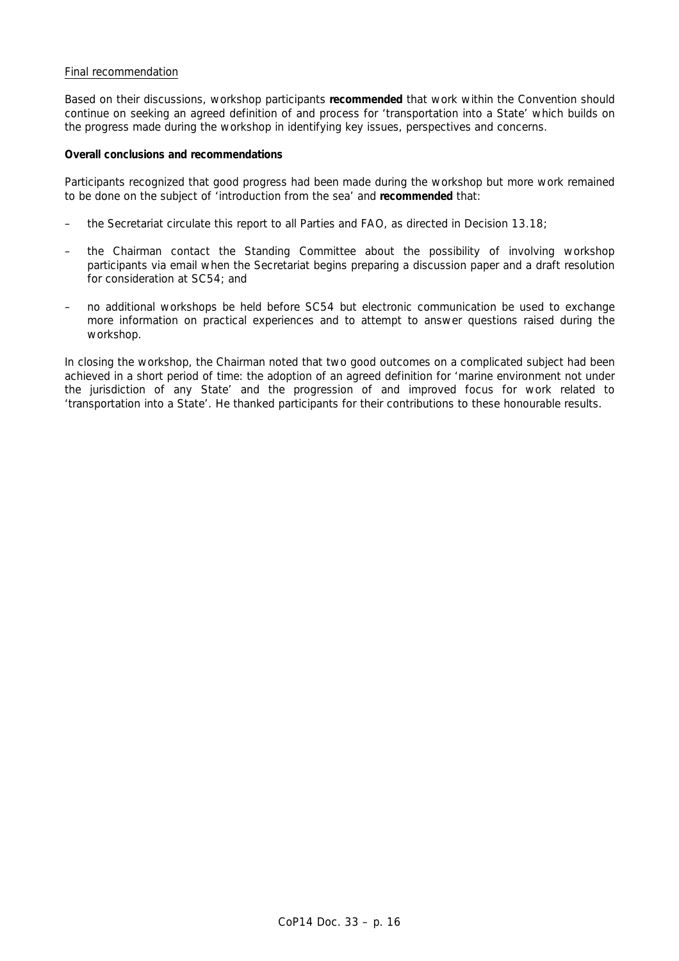## Final recommendation

Based on their discussions, workshop participants **recommended** that work within the Convention should continue on seeking an agreed definition of and process for 'transportation into a State' which builds on the progress made during the workshop in identifying key issues, perspectives and concerns.

### **Overall conclusions and recommendations**

Participants recognized that good progress had been made during the workshop but more work remained to be done on the subject of 'introduction from the sea' and **recommended** that:

- the Secretariat circulate this report to all Parties and FAO, as directed in Decision 13.18;
- the Chairman contact the Standing Committee about the possibility of involving workshop participants via email when the Secretariat begins preparing a discussion paper and a draft resolution for consideration at SC54; and
- no additional workshops be held before SC54 but electronic communication be used to exchange more information on practical experiences and to attempt to answer questions raised during the workshop.

In closing the workshop, the Chairman noted that two good outcomes on a complicated subject had been achieved in a short period of time: the adoption of an agreed definition for 'marine environment not under the jurisdiction of any State' and the progression of and improved focus for work related to 'transportation into a State'. He thanked participants for their contributions to these honourable results.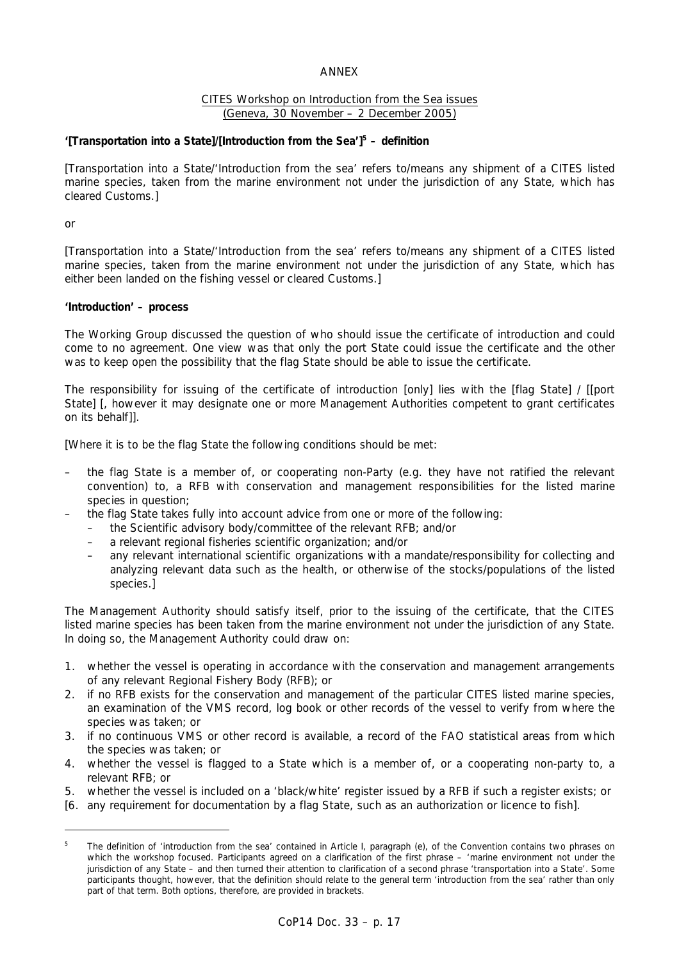### ANNEX

### CITES Workshop on Introduction from the Sea issues (Geneva, 30 November – 2 December 2005)

## **'[Transportation into a State]/[Introduction from the Sea']5 – definition**

[Transportation into a State/'Introduction from the sea' refers to/means any shipment of a CITES listed marine species, taken from the marine environment not under the jurisdiction of any State, which has cleared Customs.]

or

[Transportation into a State/'Introduction from the sea' refers to/means any shipment of a CITES listed marine species, taken from the marine environment not under the jurisdiction of any State, which has either been landed on the fishing vessel or cleared Customs.]

### **'Introduction' – process**

The Working Group discussed the question of who should issue the certificate of introduction and could come to no agreement. One view was that only the port State could issue the certificate and the other was to keep open the possibility that the flag State should be able to issue the certificate.

The responsibility for issuing of the certificate of introduction [only] lies with the [flag State] / [[port State] [, however it may designate one or more Management Authorities competent to grant certificates on its behalf]].

[Where it is to be the flag State the following conditions should be met:

- the flag State is a member of, or cooperating non-Party (e.g. they have not ratified the relevant convention) to, a RFB with conservation and management responsibilities for the listed marine species in question;
	- the flag State takes fully into account advice from one or more of the following:
	- the Scientific advisory body/committee of the relevant RFB; and/or
	- a relevant regional fisheries scientific organization; and/or
	- any relevant international scientific organizations with a mandate/responsibility for collecting and analyzing relevant data such as the health, or otherwise of the stocks/populations of the listed species.]

The Management Authority should satisfy itself, prior to the issuing of the certificate, that the CITES listed marine species has been taken from the marine environment not under the jurisdiction of any State. In doing so, the Management Authority could draw on:

- 1. whether the vessel is operating in accordance with the conservation and management arrangements of any relevant Regional Fishery Body (RFB); or
- 2. if no RFB exists for the conservation and management of the particular CITES listed marine species, an examination of the VMS record, log book or other records of the vessel to verify from where the species was taken; or
- 3. if no continuous VMS or other record is available, a record of the FAO statistical areas from which the species was taken; or
- 4. whether the vessel is flagged to a State which is a member of, or a cooperating non-party to, a relevant RFB; or
- 5. whether the vessel is included on a 'black/white' register issued by a RFB if such a register exists; or
- [6. any requirement for documentation by a flag State, such as an authorization or licence to fish].

<sup>5</sup> *The definition of 'introduction from the sea' contained in Article I, paragraph (e), of the Convention contains two phrases on which the workshop focused. Participants agreed on a clarification of the first phrase – 'marine environment not under the jurisdiction of any State – and then turned their attention to clarification of a second phrase 'transportation into a State'. Some participants thought, however, that the definition should relate to the general term 'introduction from the sea' rather than only part of that term. Both options, therefore, are provided in brackets.*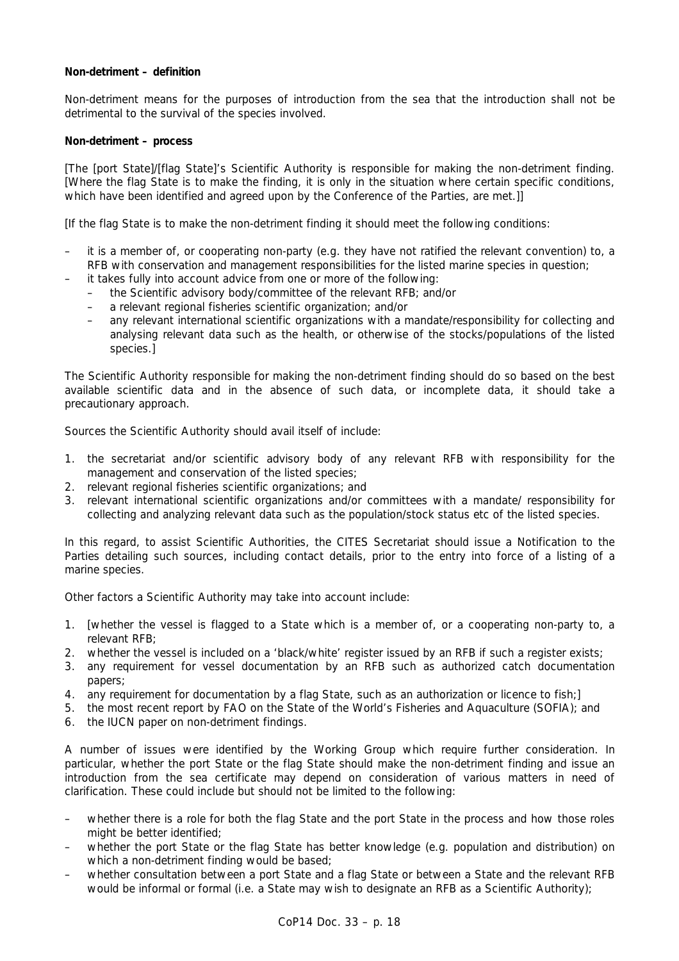## **Non-detriment – definition**

Non-detriment means for the purposes of introduction from the sea that the introduction shall not be detrimental to the survival of the species involved.

### **Non-detriment – process**

[The [port State]/[flag State]'s Scientific Authority is responsible for making the non-detriment finding. [Where the flag State is to make the finding, it is only in the situation where certain specific conditions, which have been identified and agreed upon by the Conference of the Parties, are met.]]

[If the flag State is to make the non-detriment finding it should meet the following conditions:

- it is a member of, or cooperating non-party (e.g. they have not ratified the relevant convention) to, a RFB with conservation and management responsibilities for the listed marine species in question;
- it takes fully into account advice from one or more of the following:
	- the Scientific advisory body/committee of the relevant RFB; and/or
	- a relevant regional fisheries scientific organization; and/or
	- any relevant international scientific organizations with a mandate/responsibility for collecting and analysing relevant data such as the health, or otherwise of the stocks/populations of the listed species.]

The Scientific Authority responsible for making the non-detriment finding should do so based on the best available scientific data and in the absence of such data, or incomplete data, it should take a precautionary approach.

Sources the Scientific Authority should avail itself of include:

- 1. the secretariat and/or scientific advisory body of any relevant RFB with responsibility for the management and conservation of the listed species;
- 2. relevant regional fisheries scientific organizations; and
- 3. relevant international scientific organizations and/or committees with a mandate/ responsibility for collecting and analyzing relevant data such as the population/stock status etc of the listed species.

In this regard, to assist Scientific Authorities, the CITES Secretariat should issue a Notification to the Parties detailing such sources, including contact details, prior to the entry into force of a listing of a marine species.

Other factors a Scientific Authority may take into account include:

- 1. [whether the vessel is flagged to a State which is a member of, or a cooperating non-party to, a relevant RFB;
- 2. whether the vessel is included on a 'black/white' register issued by an RFB if such a register exists;
- 3. any requirement for vessel documentation by an RFB such as authorized catch documentation papers;
- 4. any requirement for documentation by a flag State, such as an authorization or licence to fish;]
- 5. the most recent report by FAO on the State of the World's Fisheries and Aquaculture (SOFIA); and
- 6. the IUCN paper on non-detriment findings.

A number of issues were identified by the Working Group which require further consideration. In particular, whether the port State or the flag State should make the non-detriment finding and issue an introduction from the sea certificate may depend on consideration of various matters in need of clarification. These could include but should not be limited to the following:

- whether there is a role for both the flag State and the port State in the process and how those roles might be better identified;
- whether the port State or the flag State has better knowledge (e.g. population and distribution) on which a non-detriment finding would be based;
- whether consultation between a port State and a flag State or between a State and the relevant RFB would be informal or formal (i.e. a State may wish to designate an RFB as a Scientific Authority);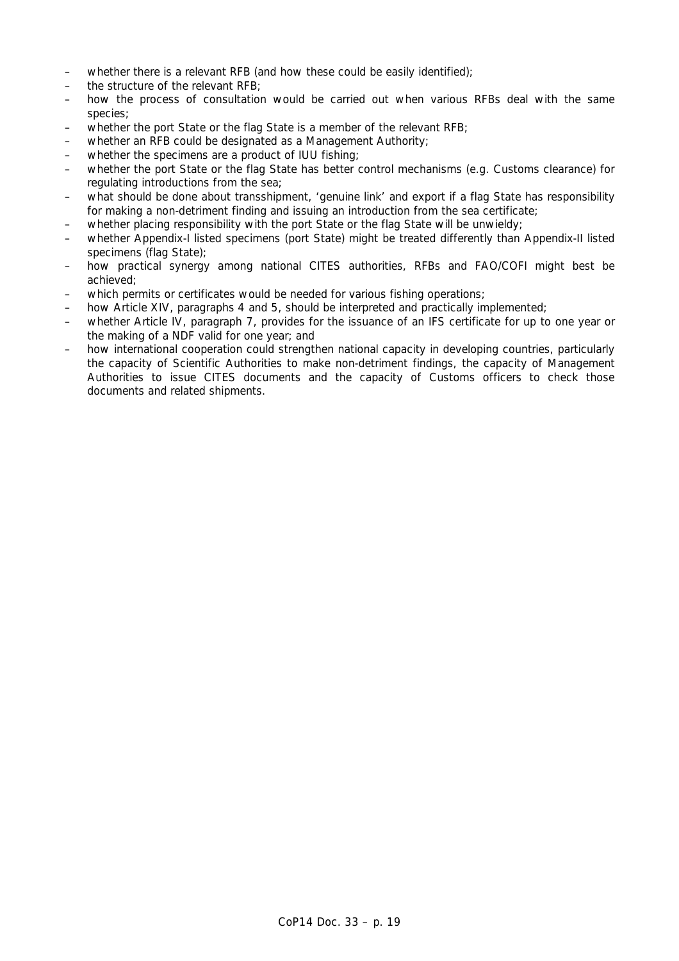- whether there is a relevant RFB (and how these could be easily identified);
- the structure of the relevant RFB;
- how the process of consultation would be carried out when various RFBs deal with the same species;
- whether the port State or the flag State is a member of the relevant RFB;
- whether an RFB could be designated as a Management Authority;
- whether the specimens are a product of IUU fishing;
- whether the port State or the flag State has better control mechanisms (e.g. Customs clearance) for regulating introductions from the sea;
- what should be done about transshipment, 'genuine link' and export if a flag State has responsibility for making a non-detriment finding and issuing an introduction from the sea certificate;
- whether placing responsibility with the port State or the flag State will be unwieldy;
- whether Appendix-I listed specimens (port State) might be treated differently than Appendix-II listed specimens (flag State);
- how practical synergy among national CITES authorities, RFBs and FAO/COFI might best be achieved;
- which permits or certificates would be needed for various fishing operations;
- how Article XIV, paragraphs 4 and 5, should be interpreted and practically implemented;
- whether Article IV, paragraph 7, provides for the issuance of an IFS certificate for up to one year or the making of a NDF valid for one year; and
- how international cooperation could strengthen national capacity in developing countries, particularly the capacity of Scientific Authorities to make non-detriment findings, the capacity of Management Authorities to issue CITES documents and the capacity of Customs officers to check those documents and related shipments.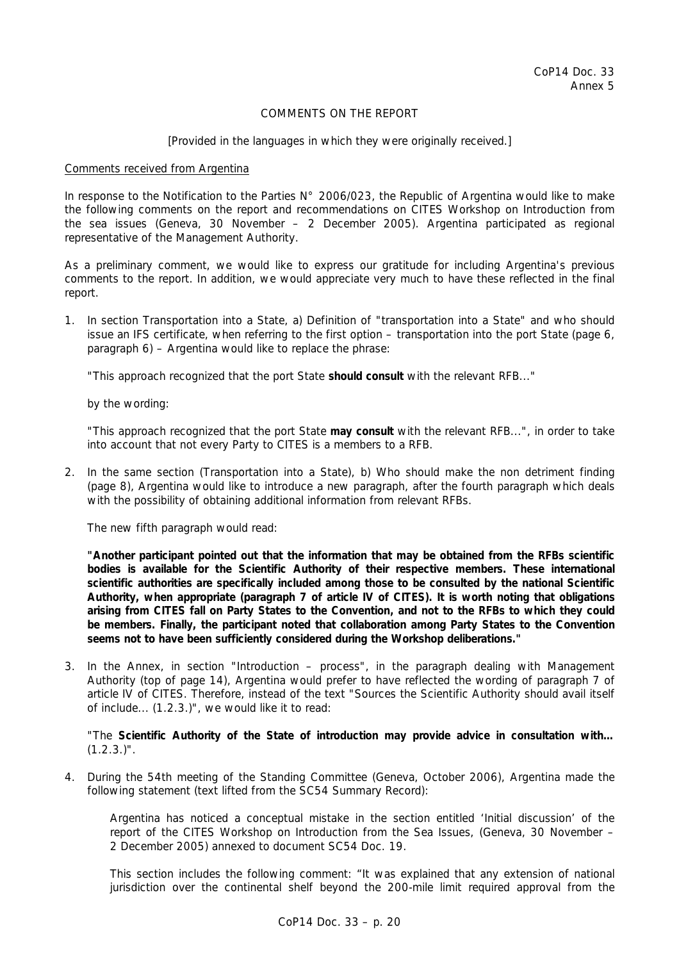## COMMENTS ON THE REPORT

### *[Provided in the languages in which they were originally received.]*

### Comments received from Argentina

In response to the Notification to the Parties N° 2006/023, the Republic of Argentina would like to make the following comments on the report and recommendations on CITES Workshop on Introduction from the sea issues (Geneva, 30 November – 2 December 2005). Argentina participated as regional representative of the Management Authority.

As a preliminary comment, we would like to express our gratitude for including Argentina's previous comments to the report. In addition, we would appreciate very much to have these reflected in the final report.

1. In section Transportation into a State, *a) Definition of "transportation into a State" and who should issue an IFS certificate*, when referring to the first option – transportation into the port State (page 6, paragraph 6) – Argentina would like to replace the phrase:

"This approach recognized that the port State **should consult** with the relevant RFB..."

by the wording:

 "This approach recognized that the port State **may consult** with the relevant RFB...", in order to take into account that not every Party to CITES is a members to a RFB.

2. In the same section (Transportation into a State), *b) Who should make the non detriment finding*  (page 8)*,* Argentina would like to introduce a new paragraph, after the fourth paragraph which deals with the possibility of obtaining additional information from relevant RFBs.

The new fifth paragraph would read:

**"Another participant pointed out that the information that may be obtained from the RFBs scientific bodies is available for the Scientific Authority of their respective members. These international scientific authorities are specifically included among those to be consulted by the national Scientific Authority, when appropriate (paragraph 7 of article IV of CITES). It is worth noting that obligations arising from CITES fall on Party States to the Convention, and not to the RFBs to which they could be members. Finally, the participant noted that collaboration among Party States to the Convention seems not to have been sufficiently considered during the Workshop deliberations."** 

3. In the Annex, in section "Introduction – process", in the paragraph dealing with Management Authority (top of page 14), Argentina would prefer to have reflected the wording of paragraph 7 of article IV of CITES. Therefore, instead of the text "Sources the Scientific Authority should avail itself of include... (1.2.3.)", we would like it to read:

 "The **Scientific Authority of the State of introduction may provide advice in consultation with…**  $(1.2.3.)$ ".

4. During the 54th meeting of the Standing Committee (Geneva, October 2006), Argentina made the following statement (text lifted from the SC54 Summary Record):

 *Argentina has noticed a conceptual mistake in the section entitled 'Initial discussion' of the report of the CITES Workshop on Introduction from the Sea Issues, (Geneva, 30 November – 2 December 2005) annexed to document SC54 Doc. 19.* 

 *This section includes the following comment: "It was explained that any extension of national jurisdiction over the continental shelf beyond the 200-mile limit required approval from the*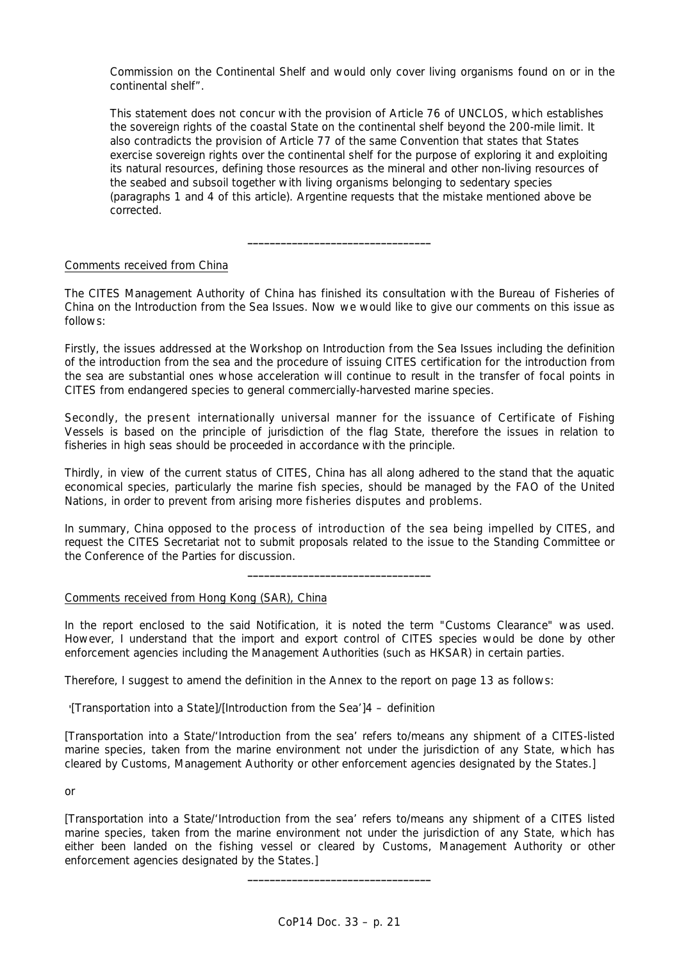*Commission on the Continental Shelf and would only cover living organisms found on or in the continental shelf".* 

*This statement does not concur with the provision of Article 76 of UNCLOS, which establishes the sovereign rights of the coastal State on the continental shelf beyond the 200-mile limit. It also contradicts the provision of Article 77 of the same Convention that states that States*  exercise sovereign rights over the continental shelf for the purpose of exploring it and exploiting *its natural resources, defining those resources as the mineral and other non-living resources of the seabed and subsoil together with living organisms belonging to sedentary species (paragraphs 1 and 4 of this article). Argentine requests that the mistake mentioned above be corrected.*

## Comments received from China

The CITES Management Authority of China has finished its consultation with the Bureau of Fisheries of China on the Introduction from the Sea Issues. Now we would like to give our comments on this issue as follows:

**\_\_\_\_\_\_\_\_\_\_\_\_\_\_\_\_\_\_\_\_\_\_\_\_\_\_\_\_\_\_\_\_\_** 

Firstly, the issues addressed at the Workshop on Introduction from the Sea Issues including the definition of the introduction from the sea and the procedure of issuing CITES certification for the introduction from the sea are substantial ones whose acceleration will continue to result in the transfer of focal points in CITES from endangered species to general commercially-harvested marine species.

Secondly, the present internationally universal manner for the issuance of Certificate of Fishing Vessels is based on the principle of jurisdiction of the flag State, therefore the issues in relation to fisheries in high seas should be proceeded in accordance with the principle.

Thirdly, in view of the current status of CITES, China has all along adhered to the stand that the aquatic economical species, particularly the marine fish species, should be managed by the FAO of the United Nations, in order to prevent from arising more fisheries disputes and problems.

In summary, China opposed to the process of introduction of the sea being impelled by CITES, and request the CITES Secretariat not to submit proposals related to the issue to the Standing Committee or the Conference of the Parties for discussion.

**\_\_\_\_\_\_\_\_\_\_\_\_\_\_\_\_\_\_\_\_\_\_\_\_\_\_\_\_\_\_\_\_\_** 

## Comments received from Hong Kong (SAR), China

In the report enclosed to the said Notification, it is noted the term "Customs Clearance" was used. However, I understand that the import and export control of CITES species would be done by other enforcement agencies including the Management Authorities (such as HKSAR) in certain parties.

Therefore, I suggest to amend the definition in the Annex to the report on page 13 as follows:

'*[Transportation into a State]/[Introduction from the Sea']4 – definition*

*[Transportation into a State/'Introduction from the sea' refers to/means any shipment of a CITES-listed marine species, taken from the marine environment not under the jurisdiction of any State, which has cleared by Customs, Management Authority or other enforcement agencies designated by the States.]*

*or*

*[Transportation into a State/'Introduction from the sea' refers to/means any shipment of a CITES listed marine species, taken from the marine environment not under the jurisdiction of any State, which has*  either been landed on the fishing vessel or cleared by Customs, Management Authority or other *enforcement agencies designated by the States.]* 

**\_\_\_\_\_\_\_\_\_\_\_\_\_\_\_\_\_\_\_\_\_\_\_\_\_\_\_\_\_\_\_\_\_**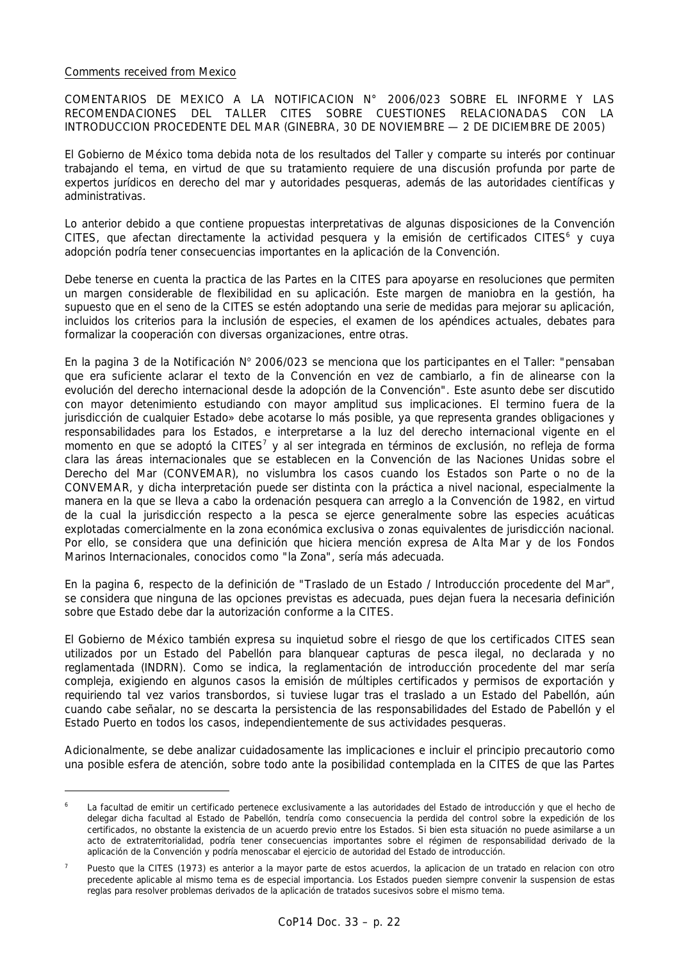### Comments received from Mexico

COMENTARIOS DE MEXICO A LA NOTIFICACION N° 2006/023 SOBRE EL INFORME Y LAS RECOMENDACIONES DEL TALLER CITES SOBRE CUESTIONES RELACIONADAS CON LA INTRODUCCION PROCEDENTE DEL MAR (GINEBRA, 30 DE NOVIEMBRE — 2 DE DICIEMBRE DE 2005)

El Gobierno de México toma debida nota de los resultados del Taller y comparte su interés por continuar trabajando el tema, en virtud de que su tratamiento requiere de una discusión profunda por parte de expertos jurídicos en derecho del mar y autoridades pesqueras, además de las autoridades científicas y administrativas.

Lo anterior debido a que contiene propuestas interpretativas de algunas disposiciones de la Convención CITES, que afectan directamente la actividad pesquera y la emisión de certificados CITES<sup>6</sup> y cuya adopción podría tener consecuencias importantes en la aplicación de la Convención.

Debe tenerse en cuenta la practica de las Partes en la CITES para apoyarse en resoluciones que permiten un margen considerable de flexibilidad en su aplicación. Este margen de maniobra en la gestión, ha supuesto que en el seno de la CITES se estén adoptando una serie de medidas para mejorar su aplicación, incluidos los criterios para la inclusión de especies, el examen de los apéndices actuales, debates para formalizar la cooperación con diversas organizaciones, entre otras.

En la pagina 3 de la Notificación Nº 2006/023 se menciona que los participantes en el Taller: "pensaban que era suficiente aclarar el texto de la Convención en vez de cambiarlo, a fin de alinearse con la evolución del derecho internacional desde la adopción de la Convención". Este asunto debe ser discutido con mayor detenimiento estudiando con mayor amplitud sus implicaciones. El termino fuera de la jurisdicción de cualquier Estado» debe acotarse lo más posible, ya que representa grandes obligaciones y responsabilidades para los Estados, e interpretarse a la luz del derecho internacional vigente en el momento en que se adoptó la CITES<sup>7</sup> y al ser integrada en términos de exclusión, no refleja de forma clara las áreas internacionales que se establecen en la Convención de las Naciones Unidas sobre el Derecho del Mar (CONVEMAR), no vislumbra los casos cuando los Estados son Parte o no de la CONVEMAR, y dicha interpretación puede ser distinta con la práctica a nivel nacional, especialmente la manera en la que se Ileva a cabo la ordenación pesquera can arreglo a la Convención de 1982, en virtud de la cual la jurisdicción respecto a la pesca se ejerce generalmente sobre las especies acuáticas explotadas comercialmente en la zona económica exclusiva o zonas equivalentes de jurisdicción nacional. Por ello, se considera que una definición que hiciera mención expresa de Alta Mar y de los Fondos Marinos Internacionales, conocidos como "la Zona", sería más adecuada.

En la pagina 6, respecto de la definición de "Traslado de un Estado / Introducción procedente del Mar", se considera que ninguna de las opciones previstas es adecuada, pues dejan fuera la necesaria definición sobre que Estado debe dar la autorización conforme a la CITES.

El Gobierno de México también expresa su inquietud sobre el riesgo de que los certificados CITES sean utilizados por un Estado del Pabellón para blanquear capturas de pesca ilegal, no declarada y no reglamentada (INDRN). Como se indica, la reglamentación de introducción procedente del mar sería compleja, exigiendo en algunos casos la emisión de múltiples certificados y permisos de exportación y requiriendo tal vez varios transbordos, si tuviese lugar tras el traslado a un Estado del Pabellón, aún cuando cabe señalar, no se descarta la persistencia de las responsabilidades del Estado de Pabellón y el Estado Puerto en todos los casos, independientemente de sus actividades pesqueras.

Adicionalmente, se debe analizar cuidadosamente las implicaciones e incluir el principio precautorio como una posible esfera de atención, sobre todo ante la posibilidad contemplada en la CITES de que las Partes

*<sup>6</sup> La facultad de emitir un certificado pertenece exclusivamente a las autoridades del Estado de introducción y que el hecho de delegar dicha facultad al Estado de Pabellón, tendría como consecuencia la perdida del control sobre la expedición de los certificados, no obstante la existencia de un acuerdo previo entre los Estados. Si bien esta situación no puede asimilarse a un acto de extraterritorialidad, podría tener consecuencias importantes sobre el régimen de responsabilidad derivado de la aplicación de la Convención y podría menoscabar el ejercicio de autoridad del Estado de introducción.* 

*<sup>7</sup> Puesto que la CITES (1973) es anterior a la mayor parte de estos acuerdos, la aplicacion de un tratado en relacion con otro precedente aplicable al mismo tema es de especial importancia. Los Estados pueden siempre convenir la suspension de estas reglas para resolver problemas derivados de la aplicación de tratados sucesivos sobre el mismo tema.*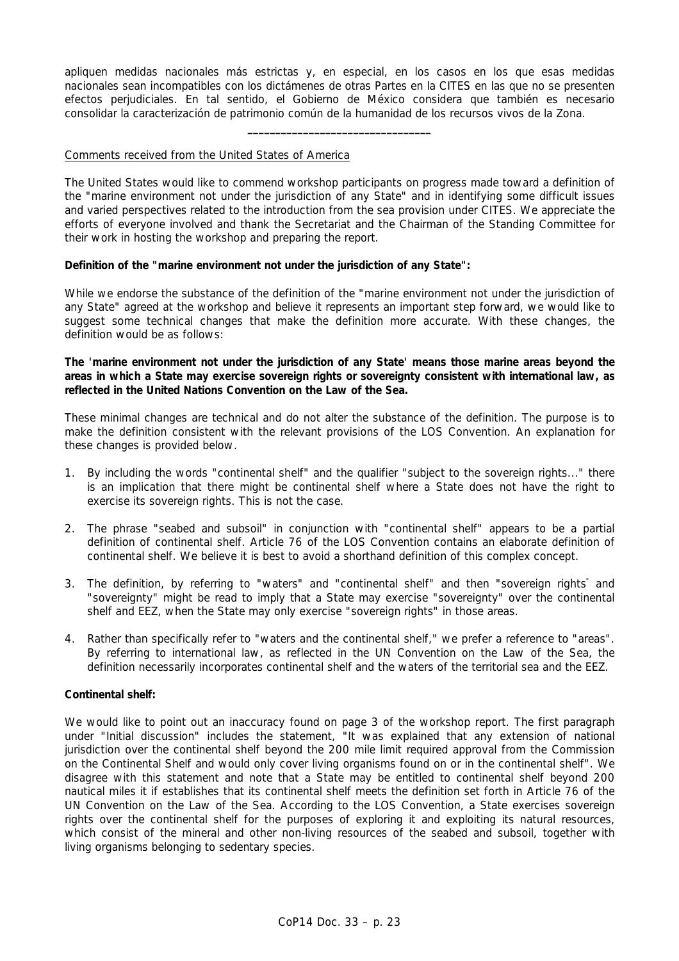apliquen medidas nacionales más estrictas y, en especial, en los casos en los que esas medidas nacionales sean incompatibles con los dictámenes de otras Partes en la CITES en las que no se presenten efectos perjudiciales. En tal sentido, el Gobierno de México considera que también es necesario consolidar la caracterización de patrimonio común de la humanidad de los recursos vivos de la Zona.

**\_\_\_\_\_\_\_\_\_\_\_\_\_\_\_\_\_\_\_\_\_\_\_\_\_\_\_\_\_\_\_\_\_** 

## Comments received from the United States of America

The United States would like to commend workshop participants on progress made toward a definition of the "marine environment not under the jurisdiction of any State" and in identifying some difficult issues and varied perspectives related to the introduction from the sea provision under CITES. We appreciate the efforts of everyone involved and thank the Secretariat and the Chairman of the Standing Committee for their work in hosting the workshop and preparing the report.

### **Definition of the "marine environment not under the jurisdiction of any State":**

While we endorse the substance of the definition of the "marine environment not under the jurisdiction of any State" agreed at the workshop and believe it represents an important step forward, we would like to suggest some technical changes that make the definition more accurate. With these changes, the definition would be as follows:

## **The 'marine environment not under the jurisdiction of any State' means those marine areas beyond the areas in which a State may exercise sovereign rights or sovereignty consistent with international law, as reflected in the United Nations Convention on the Law of the Sea.**

These minimal changes are technical and do not alter the substance of the definition. The purpose is to make the definition consistent with the relevant provisions of the LOS Convention. An explanation for these changes is provided below.

- 1. By including the words "continental shelf" and the qualifier "subject to the sovereign rights..." there is an implication that there might be continental shelf where a State does not have the right to exercise its sovereign rights. This is not the case.
- 2. The phrase "seabed and subsoil" in conjunction with "continental shelf" appears to be a partial definition of continental shelf. Article 76 of the LOS Convention contains an elaborate definition of continental shelf. We believe it is best to avoid a shorthand definition of this complex concept.
- 3. The definition, by referring to "waters" and "continental shelf" and then "sovereign rights" and "sovereignty" might be read to imply that a State may exercise "sovereignty" over the continental shelf and EEZ, when the State may only exercise "sovereign rights" in those areas.
- 4. Rather than specifically refer to "waters and the continental shelf," we prefer a reference to "areas". By referring to international law, as reflected in the UN Convention on the Law of the Sea, the definition necessarily incorporates continental shelf and the waters of the territorial sea and the EEZ.

### **Continental shelf:**

We would like to point out an inaccuracy found on page 3 of the workshop report. The first paragraph under "Initial discussion" includes the statement, "It was explained that any extension of national jurisdiction over the continental shelf beyond the 200 mile limit required approval from the Commission on the Continental Shelf and would only cover living organisms found on or in the continental shelf". We disagree with this statement and note that a State may be entitled to continental shelf beyond 200 nautical miles it if establishes that its continental shelf meets the definition set forth in Article 76 of the UN Convention on the Law of the Sea. According to the LOS Convention, a State exercises sovereign rights over the continental shelf for the purposes of exploring it and exploiting its natural resources, which consist of the mineral and other non-living resources of the seabed and subsoil, together with living organisms belonging to sedentary species.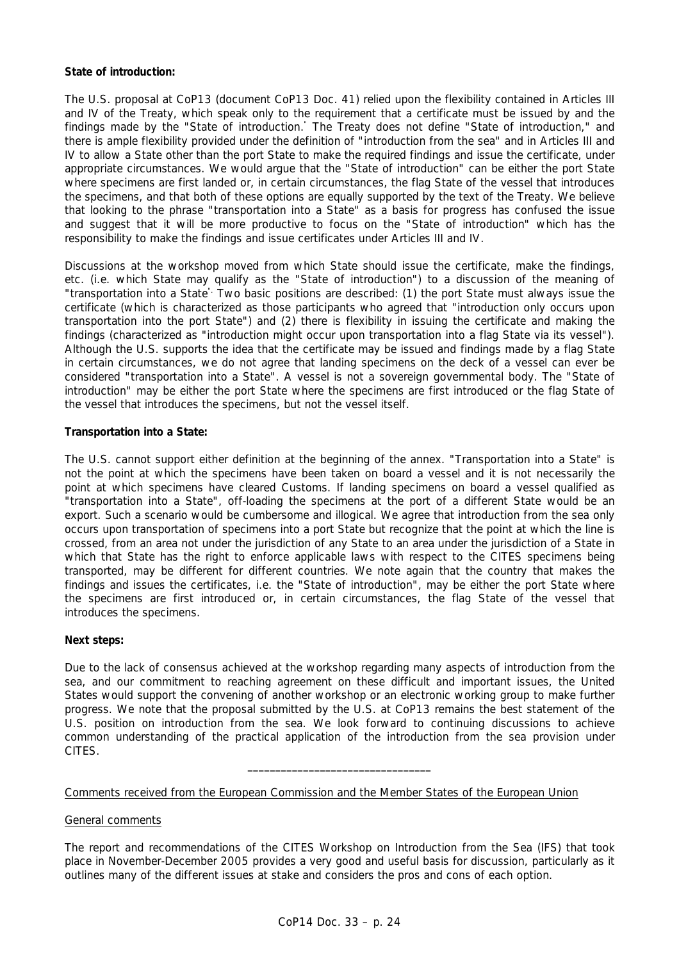# **State of introduction:**

The U.S. proposal at CoP13 (document CoP13 Doc. 41) relied upon the flexibility contained in Articles III and IV of the Treaty, which speak only to the requirement that a certificate must be issued by and the findings made by the "State of introduction." The Treaty does not define "State of introduction," and there is ample flexibility provided under the definition of "introduction from the sea" and in Articles III and IV to allow a State other than the port State to make the required findings and issue the certificate, under appropriate circumstances. We would argue that the "State of introduction" can be either the port State where specimens are first landed or, in certain circumstances, the flag State of the vessel that introduces the specimens, and that both of these options are equally supported by the text of the Treaty. We believe that looking to the phrase "transportation into a State" as a basis for progress has confused the issue and suggest that it will be more productive to focus on the "State of introduction" which has the responsibility to make the findings and issue certificates under Articles III and IV.

Discussions at the workshop moved from which State should issue the certificate, make the findings, etc. (i.e. which State may qualify as the "State of introduction") to a discussion of the meaning of "transportation into a State". Two basic positions are described: (1) the port State must always issue the certificate (which is characterized as those participants who agreed that "introduction only occurs upon transportation into the port State") and (2) there is flexibility in issuing the certificate and making the findings (characterized as "introduction might occur upon transportation into a flag State via its vessel"). Although the U.S. supports the idea that the certificate may be issued and findings made by a flag State in certain circumstances, we do not agree that landing specimens on the deck of a vessel can ever be considered "transportation into a State". A vessel is not a sovereign governmental body. The "State of introduction" may be either the port State where the specimens are first introduced or the flag State of the vessel that introduces the specimens, but not the vessel itself.

### **Transportation into a State:**

The U.S. cannot support either definition at the beginning of the annex. "Transportation into a State" is not the point at which the specimens have been taken on board a vessel and it is not necessarily the point at which specimens have cleared Customs. If landing specimens on board a vessel qualified as "transportation into a State", off-loading the specimens at the port of a different State would be an export. Such a scenario would be cumbersome and illogical. We agree that introduction from the sea only occurs upon transportation of specimens into a port State but recognize that the point at which the line is crossed, from an area not under the jurisdiction of any State to an area under the jurisdiction of a State in which that State has the right to enforce applicable laws with respect to the CITES specimens being transported, may be different for different countries. We note again that the country that makes the findings and issues the certificates, i.e. the "State of introduction", may be either the port State where the specimens are first introduced or, in certain circumstances, the flag State of the vessel that introduces the specimens.

### **Next steps:**

Due to the lack of consensus achieved at the workshop regarding many aspects of introduction from the sea, and our commitment to reaching agreement on these difficult and important issues, the United States would support the convening of another workshop or an electronic working group to make further progress. We note that the proposal submitted by the U.S. at CoP13 remains the best statement of the U.S. position on introduction from the sea. We look forward to continuing discussions to achieve common understanding of the practical application of the introduction from the sea provision under CITES.

**\_\_\_\_\_\_\_\_\_\_\_\_\_\_\_\_\_\_\_\_\_\_\_\_\_\_\_\_\_\_\_\_\_** 

### Comments received from the European Commission and the Member States of the European Union

## General comments

The report and recommendations of the CITES Workshop on Introduction from the Sea (IFS) that took place in November-December 2005 provides a very good and useful basis for discussion, particularly as it outlines many of the different issues at stake and considers the pros and cons of each option.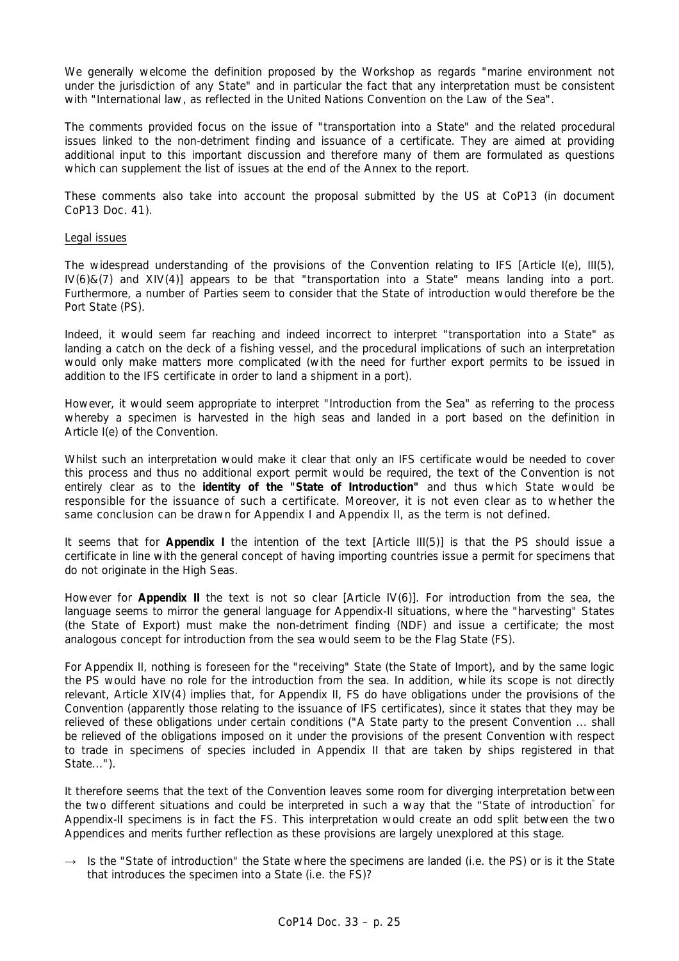We generally welcome the definition proposed by the Workshop as regards "marine environment not under the jurisdiction of any State" and in particular the fact that any interpretation must be consistent with "International law, as reflected in the United Nations Convention on the Law of the Sea".

The comments provided focus on the issue of "transportation into a State" and the related procedural issues linked to the non-detriment finding and issuance of a certificate. They are aimed at providing additional input to this important discussion and therefore many of them are formulated as questions which can supplement the list of issues at the end of the Annex to the report.

These comments also take into account the proposal submitted by the US at CoP13 (in document CoP13 Doc. 41).

### Legal issues

The widespread understanding of the provisions of the Convention relating to IFS [Article I(e), III(5), IV(6)&(7) and XIV(4)] appears to be that "transportation into a State" means landing into a port. Furthermore, a number of Parties seem to consider that the State of introduction would therefore be the Port State (PS).

Indeed, it would seem far reaching and indeed incorrect to interpret "transportation into a State" as landing a catch on the deck of a fishing vessel, and the procedural implications of such an interpretation would only make matters more complicated (with the need for further export permits to be issued in addition to the IFS certificate in order to land a shipment in a port).

However, it would seem appropriate to interpret "Introduction from the Sea" as referring to the process whereby a specimen is harvested in the high seas and landed in a port based on the definition in Article I(e) of the Convention.

Whilst such an interpretation would make it clear that only an IFS certificate would be needed to cover this process and thus no additional export permit would be required, the text of the Convention is not entirely clear as to the **identity of the "State of Introduction"** and thus which State would be responsible for the issuance of such a certificate. Moreover, it is not even clear as to whether the same conclusion can be drawn for Appendix I and Appendix II, as the term is not defined.

It seems that for **Appendix I** the intention of the text [Article III(5)] is that the PS should issue a certificate in line with the general concept of having importing countries issue a permit for specimens that do not originate in the High Seas.

However for **Appendix II** the text is not so clear [Article IV(6)]. For introduction from the sea, the language seems to mirror the general language for Appendix-II situations, where the "harvesting" States (the State of Export) must make the non-detriment finding (NDF) and issue a certificate; the most analogous concept for introduction from the sea would seem to be the Flag State (FS).

For Appendix II, nothing is foreseen for the "receiving" State (the State of Import), and by the same logic the PS would have no role for the introduction from the sea. In addition, while its scope is not directly relevant, Article XIV(4) implies that, for Appendix II, FS do have obligations under the provisions of the Convention (apparently those relating to the issuance of IFS certificates), since it states that they may be relieved of these obligations under certain conditions ("A State party to the present Convention ... shall be relieved of the obligations imposed on it under the provisions of the present Convention with respect to trade in specimens of species included in Appendix II that are taken by ships registered in that State...").

It therefore seems that the text of the Convention leaves some room for diverging interpretation between the two different situations and could be interpreted in such a way that the "State of introduction" for Appendix-II specimens is in fact the FS. This interpretation would create an odd split between the two Appendices and merits further reflection as these provisions are largely unexplored at this stage.

 $\rightarrow$  Is the "State of introduction" the State where the specimens are landed (i.e. the PS) or is it the State that introduces the specimen into a State (i.e. the FS)?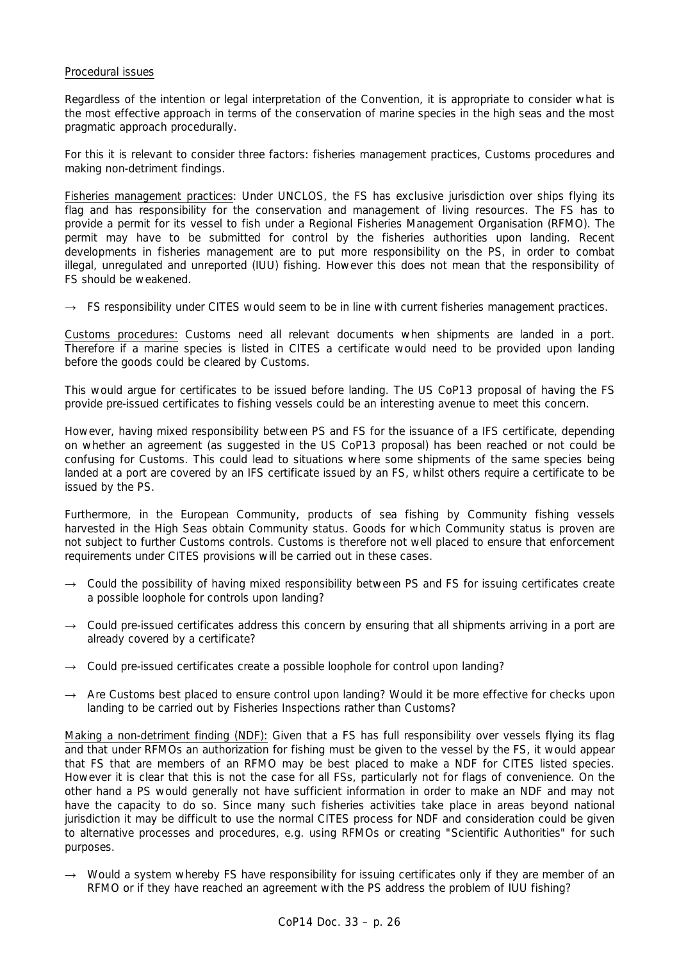## Procedural issues

Regardless of the intention or legal interpretation of the Convention, it is appropriate to consider what is the most effective approach in terms of the conservation of marine species in the high seas and the most pragmatic approach procedurally.

For this it is relevant to consider three factors: fisheries management practices, Customs procedures and making non-detriment findings.

Fisheries management practices: Under UNCLOS, the FS has exclusive jurisdiction over ships flying its flag and has responsibility for the conservation and management of living resources. The FS has to provide a permit for its vessel to fish under a Regional Fisheries Management Organisation (RFMO). The permit may have to be submitted for control by the fisheries authorities upon landing. Recent developments in fisheries management are to put more responsibility on the PS, in order to combat illegal, unregulated and unreported (IUU) fishing. However this does not mean that the responsibility of FS should be weakened.

 $\rightarrow$  FS responsibility under CITES would seem to be in line with current fisheries management practices.

Customs procedures: Customs need all relevant documents when shipments are landed in a port. Therefore if a marine species is listed in CITES a certificate would need to be provided upon landing before the goods could be cleared by Customs.

This would argue for certificates to be issued before landing. The US CoP13 proposal of having the FS provide pre-issued certificates to fishing vessels could be an interesting avenue to meet this concern.

However, having mixed responsibility between PS and FS for the issuance of a IFS certificate, depending on whether an agreement (as suggested in the US CoP13 proposal) has been reached or not could be confusing for Customs. This could lead to situations where some shipments of the same species being landed at a port are covered by an IFS certificate issued by an FS, whilst others require a certificate to be issued by the PS.

Furthermore, in the European Community, products of sea fishing by Community fishing vessels harvested in the High Seas obtain Community status. Goods for which Community status is proven are not subject to further Customs controls. Customs is therefore not well placed to ensure that enforcement requirements under CITES provisions will be carried out in these cases.

- $\rightarrow$  Could the possibility of having mixed responsibility between PS and FS for issuing certificates create a possible loophole for controls upon landing?
- $\rightarrow$  Could pre-issued certificates address this concern by ensuring that all shipments arriving in a port are already covered by a certificate?
- $\rightarrow$  Could pre-issued certificates create a possible loophole for control upon landing?
- $\rightarrow$  Are Customs best placed to ensure control upon landing? Would it be more effective for checks upon landing to be carried out by Fisheries Inspections rather than Customs?

Making a non-detriment finding (NDF): Given that a FS has full responsibility over vessels flying its flag and that under RFMOs an authorization for fishing must be given to the vessel by the FS, it would appear that FS that are members of an RFMO may be best placed to make a NDF for CITES listed species. However it is clear that this is not the case for all FSs, particularly not for flags of convenience. On the other hand a PS would generally not have sufficient information in order to make an NDF and may not have the capacity to do so. Since many such fisheries activities take place in areas beyond national jurisdiction it may be difficult to use the normal CITES process for NDF and consideration could be given to alternative processes and procedures, e.g. using RFMOs or creating "Scientific Authorities" for such purposes.

 $\rightarrow$  Would a system whereby FS have responsibility for issuing certificates only if they are member of an RFMO or if they have reached an agreement with the PS address the problem of IUU fishing?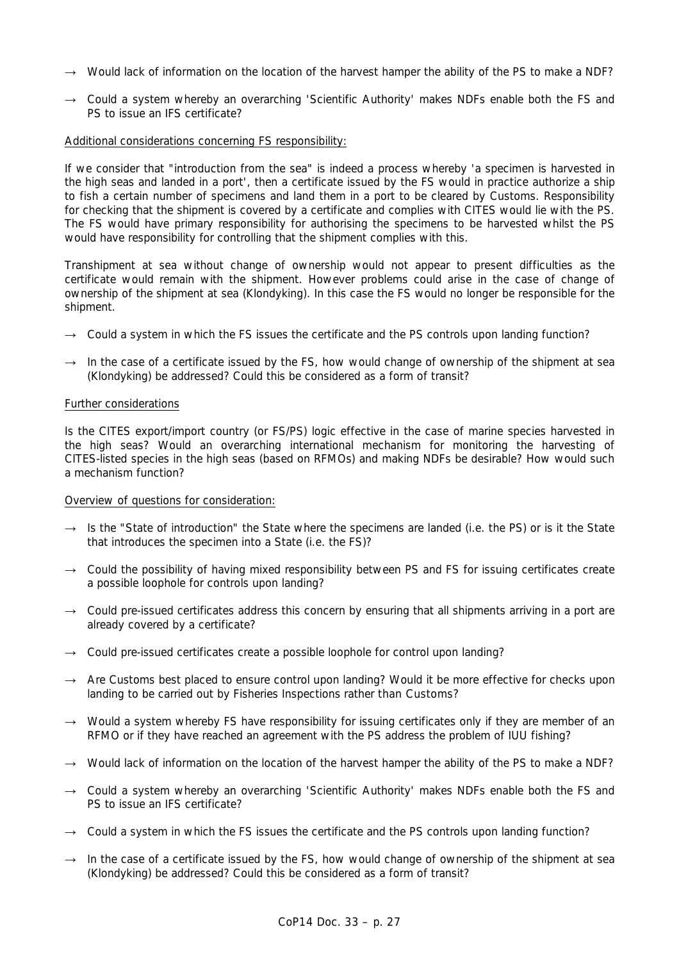- $\rightarrow$  Would lack of information on the location of the harvest hamper the ability of the PS to make a NDF?
- $\rightarrow$  Could a system whereby an overarching 'Scientific Authority' makes NDFs enable both the FS and PS to issue an IFS certificate?

### Additional considerations concerning FS responsibility:

If we consider that "introduction from the sea" is indeed a process whereby 'a specimen is harvested in the high seas and landed in a port', then a certificate issued by the FS would in practice authorize a ship to fish a certain number of specimens and land them in a port to be cleared by Customs. Responsibility for checking that the shipment is covered by a certificate and complies with CITES would lie with the PS. The FS would have primary responsibility for authorising the specimens to be harvested whilst the PS would have responsibility for controlling that the shipment complies with this.

Transhipment at sea without change of ownership would not appear to present difficulties as the certificate would remain with the shipment. However problems could arise in the case of change of ownership of the shipment at sea (Klondyking). In this case the FS would no longer be responsible for the shipment.

- $\rightarrow$  Could a system in which the FS issues the certificate and the PS controls upon landing function?
- $\rightarrow$  In the case of a certificate issued by the FS, how would change of ownership of the shipment at sea (Klondyking) be addressed? Could this be considered as a form of transit?

#### Further considerations

Is the CITES export/import country (or FS/PS) logic effective in the case of marine species harvested in the high seas? Would an overarching international mechanism for monitoring the harvesting of CITES-listed species in the high seas (based on RFMOs) and making NDFs be desirable? How would such a mechanism function?

### Overview of questions for consideration:

- $\rightarrow$  Is the "State of introduction" the State where the specimens are landed (i.e. the PS) or is it the State that introduces the specimen into a State (i.e. the FS)?
- $\rightarrow$  Could the possibility of having mixed responsibility between PS and FS for issuing certificates create a possible loophole for controls upon landing?
- $\rightarrow$  Could pre-issued certificates address this concern by ensuring that all shipments arriving in a port are already covered by a certificate?
- $\rightarrow$  Could pre-issued certificates create a possible loophole for control upon landing?
- → Are Customs best placed to ensure control upon landing? Would it be more effective for checks upon landing to be carried out by Fisheries Inspections rather than Customs?
- → Would a system whereby FS have responsibility for issuing certificates only if they are member of an RFMO or if they have reached an agreement with the PS address the problem of IUU fishing?
- $\rightarrow$  Would lack of information on the location of the harvest hamper the ability of the PS to make a NDF?
- → Could a system whereby an overarching 'Scientific Authority' makes NDFs enable both the FS and PS to issue an IFS certificate?
- $\rightarrow$  Could a system in which the FS issues the certificate and the PS controls upon landing function?
- $\rightarrow$  In the case of a certificate issued by the FS, how would change of ownership of the shipment at sea (Klondyking) be addressed? Could this be considered as a form of transit?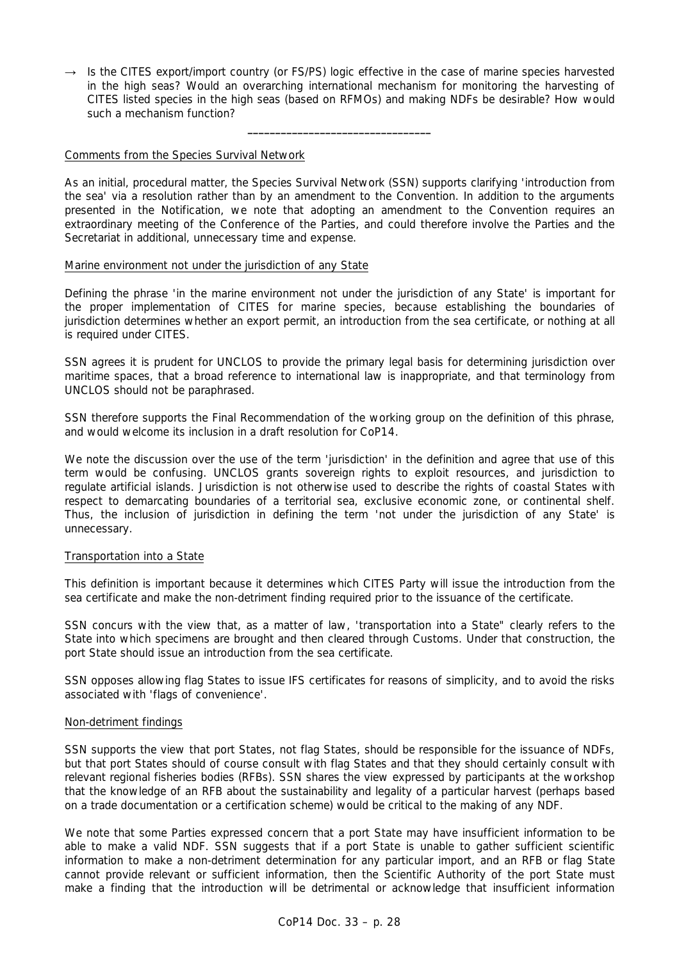$\rightarrow$  Is the CITES export/import country (or FS/PS) logic effective in the case of marine species harvested in the high seas? Would an overarching international mechanism for monitoring the harvesting of CITES listed species in the high seas (based on RFMOs) and making NDFs be desirable? How would such a mechanism function?

**\_\_\_\_\_\_\_\_\_\_\_\_\_\_\_\_\_\_\_\_\_\_\_\_\_\_\_\_\_\_\_\_\_** 

### Comments from the Species Survival Network

As an initial, procedural matter, the Species Survival Network (SSN) supports clarifying 'introduction from the sea' via a resolution rather than by an amendment to the Convention. In addition to the arguments presented in the Notification, we note that adopting an amendment to the Convention requires an extraordinary meeting of the Conference of the Parties, and could therefore involve the Parties and the Secretariat in additional, unnecessary time and expense.

### Marine environment not under the jurisdiction of any State

Defining the phrase 'in the marine environment not under the jurisdiction of any State' is important for the proper implementation of CITES for marine species, because establishing the boundaries of jurisdiction determines whether an export permit, an introduction from the sea certificate, or nothing at all is required under CITES.

SSN agrees it is prudent for UNCLOS to provide the primary legal basis for determining jurisdiction over maritime spaces, that a broad reference to international law is inappropriate, and that terminology from UNCLOS should not be paraphrased.

SSN therefore supports the Final Recommendation of the working group on the definition of this phrase, and would welcome its inclusion in a draft resolution for CoP14.

We note the discussion over the use of the term 'jurisdiction' in the definition and agree that use of this term would be confusing. UNCLOS grants sovereign rights to exploit resources, and jurisdiction to regulate artificial islands. Jurisdiction is not otherwise used to describe the rights of coastal States with respect to demarcating boundaries of a territorial sea, exclusive economic zone, or continental shelf. Thus, the inclusion of jurisdiction in defining the term 'not under the jurisdiction of any State' is unnecessary.

### Transportation into a State

This definition is important because it determines which CITES Party will issue the introduction from the sea certificate and make the non-detriment finding required prior to the issuance of the certificate.

SSN concurs with the view that, as a matter of law, 'transportation into a State" clearly refers to the State into which specimens are brought and then cleared through Customs. Under that construction, the port State should issue an introduction from the sea certificate.

SSN opposes allowing flag States to issue IFS certificates for reasons of simplicity, and to avoid the risks associated with 'flags of convenience'.

### Non-detriment findings

SSN supports the view that port States, not flag States, should be responsible for the issuance of NDFs, but that port States should of course consult with flag States and that they should certainly consult with relevant regional fisheries bodies (RFBs). SSN shares the view expressed by participants at the workshop that the knowledge of an RFB about the sustainability and legality of a particular harvest (perhaps based on a trade documentation or a certification scheme) would be critical to the making of any NDF.

We note that some Parties expressed concern that a port State may have insufficient information to be able to make a valid NDF. SSN suggests that if a port State is unable to gather sufficient scientific information to make a non-detriment determination for any particular import, and an RFB or flag State cannot provide relevant or sufficient information, then the Scientific Authority of the port State must make a finding that the introduction will be detrimental or acknowledge that insufficient information